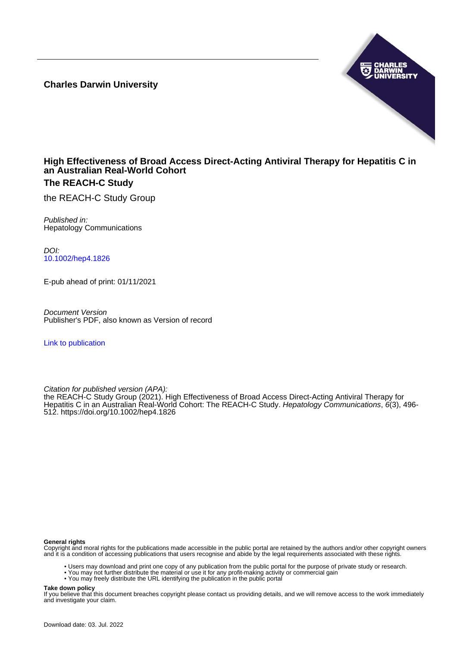**Charles Darwin University**



#### **High Effectiveness of Broad Access Direct-Acting Antiviral Therapy for Hepatitis C in an Australian Real-World Cohort The REACH-C Study**

the REACH-C Study Group

Published in: Hepatology Communications

DOI: [10.1002/hep4.1826](https://doi.org/10.1002/hep4.1826)

E-pub ahead of print: 01/11/2021

Document Version Publisher's PDF, also known as Version of record

[Link to publication](https://researchers.cdu.edu.au/en/publications/a113ecad-2ec4-4fb1-92a8-bafe8112e3ed)

Citation for published version (APA):

the REACH-C Study Group (2021). High Effectiveness of Broad Access Direct-Acting Antiviral Therapy for Hepatitis C in an Australian Real-World Cohort: The REACH-C Study. Hepatology Communications, 6(3), 496-512.<https://doi.org/10.1002/hep4.1826>

#### **General rights**

Copyright and moral rights for the publications made accessible in the public portal are retained by the authors and/or other copyright owners and it is a condition of accessing publications that users recognise and abide by the legal requirements associated with these rights.

- Users may download and print one copy of any publication from the public portal for the purpose of private study or research.
- You may not further distribute the material or use it for any profit-making activity or commercial gain
- You may freely distribute the URL identifying the publication in the public portal

#### **Take down policy**

If you believe that this document breaches copyright please contact us providing details, and we will remove access to the work immediately and investigate your claim.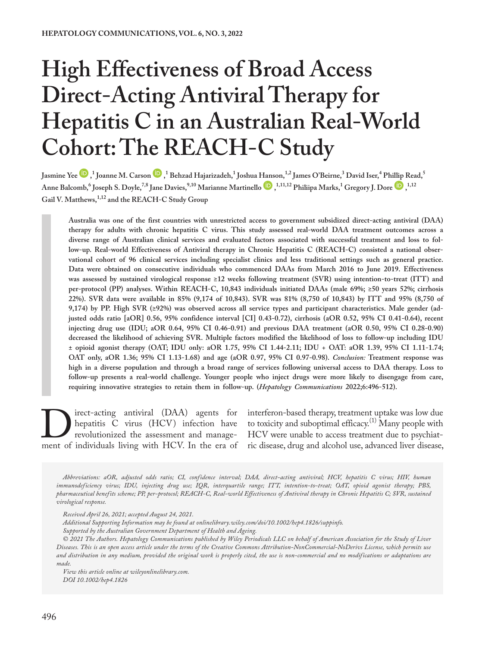# **High Effectiveness of Broad Access Direct-Acting Antiviral Therapy for Hepatitis C in an Australian Real-World Cohort: The REACH-C Study**

Jasmi[n](https://orcid.org/0000-0001-8043-0200)e Yee  $\blacksquare$  , I Joanne M. Carson  $\blacksquare$  , I Behzad Hajarizadeh, I Joshua [Hans](https://orcid.org/0000-0001-9444-0186)on, <sup>1,2</sup> James O'Beirne, <sup>3</sup> David Iser, <sup>4</sup> Ph[illip](https://orcid.org/0000-0002-4741-2622) Read, 5 Anne Balcomb, <sup>6</sup> Joseph S. Doyle,<sup>7,8</sup> Jane Davies,<sup>9,10</sup> Marianne Martinello  $\bullet$ ,<sup>1,11,12</sup> Philiipa Marks,<sup>1</sup> Gregory J. Dore  $\bullet$ ,<sup>1,12</sup> **Gail V. Matthews,1,12 and the REACH-C Study Group**

**Australia was one of the first countries with unrestricted access to government subsidized direct-acting antiviral (DAA) therapy for adults with chronic hepatitis C virus. This study assessed real-world DAA treatment outcomes across a diverse range of Australian clinical services and evaluated factors associated with successful treatment and loss to follow-up. Real-world Effectiveness of Antiviral therapy in Chronic Hepatitis C (REACH-C) consisted a national observational cohort of 96 clinical services including specialist clinics and less traditional settings such as general practice. Data were obtained on consecutive individuals who commenced DAAs from March 2016 to June 2019. Effectiveness was assessed by sustained virological response ≥12 weeks following treatment (SVR) using intention-to-treat (ITT) and per-protocol (PP) analyses. Within REACH-C, 10,843 individuals initiated DAAs (male 69%; ≥50 years 52%; cirrhosis 22%). SVR data were available in 85% (9,174 of 10,843). SVR was 81% (8,750 of 10,843) by ITT and 95% (8,750 of 9,174) by PP. High SVR (≥92%) was observed across all service types and participant characteristics. Male gender (adjusted odds ratio [aOR] 0.56, 95% confidence interval [CI] 0.43-0.72), cirrhosis (aOR 0.52, 95% CI 0.41-0.64), recent injecting drug use (IDU; aOR 0.64, 95% CI 0.46-0.91) and previous DAA treatment (aOR 0.50, 95% CI 0.28-0.90) decreased the likelihood of achieving SVR. Multiple factors modified the likelihood of loss to follow-up including IDU ± opioid agonist therapy (OAT; IDU only: aOR 1.75, 95% CI 1.44-2.11; IDU + OAT: aOR 1.39, 95% CI 1.11-1.74; OAT only, aOR 1.36; 95% CI 1.13-1.68) and age (aOR 0.97, 95% CI 0.97-0.98).** *Conclusion:* **Treatment response was high in a diverse population and through a broad range of services following universal access to DAA therapy. Loss to follow-up presents a real-world challenge. Younger people who inject drugs were more likely to disengage from care, requiring innovative strategies to retain them in follow-up. (***Hepatology Communications* **2022;6:496-512).**

Direct-acting antiviral (DAA) agents for hepatitis C virus (HCV) infection have revolutionized the assessment and management of individuals living with HCV. In the era of hepatitis C virus (HCV) infection have revolutionized the assessment and manageinterferon-based therapy, treatment uptake was low due to toxicity and suboptimal efficacy.<sup>(1)</sup> Many people with HCV were unable to access treatment due to psychiatric disease, drug and alcohol use, advanced liver disease,

*Abbreviations: aOR, adjusted odds ratio; CI, confidence interval; DAA, direct-acting antiviral; HCV, hepatitis C virus; HIV, human immunodeficiency virus; IDU, injecting drug use; IQR, interquartile range; ITT, intention-to-treat; OAT, opioid agonist therapy; PBS, pharmaceutical benefits scheme; PP, per-protocol; REACH-C, Real-world Effectiveness of Antiviral therapy in Chronic Hepatitis C; SVR, sustained virological response.*

*Received April 26, 2021; accepted August 24, 2021.*

*Additional Supporting Information may be found at onlinelibrary.wiley.com/doi/10.1002/hep4.1826/suppinfo. Supported by the Australian Government Department of Health and Ageing.*

*© 2021 The Authors. Hepatology Communications published by Wiley Periodicals LLC on behalf of American Association for the Study of Liver Diseases. This is an open access article under the terms of the [Creative Commons Attribution-NonCommercial-NoDerivs](http://creativecommons.org/licenses/by-nc-nd/4.0/) License, which permits use and distribution in any medium, provided the original work is properly cited, the use is non-commercial and no modifications or adaptations are made.*

*View this article online at wileyonlinelibrary.com. DOI 10.1002/hep4.1826*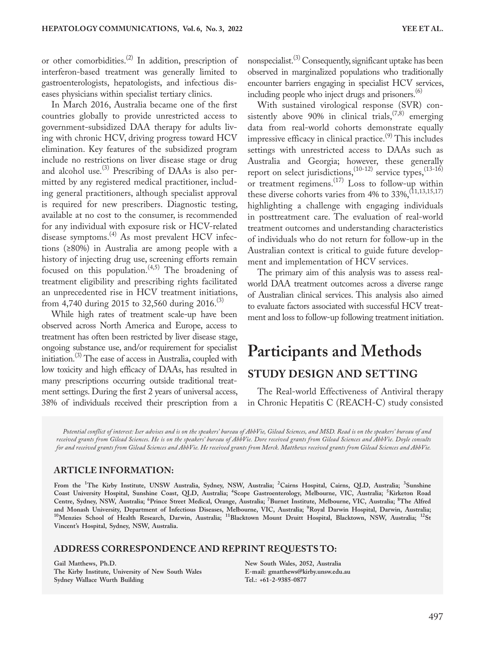or other comorbidities.<sup>(2)</sup> In addition, prescription of interferon-based treatment was generally limited to gastroenterologists, hepatologists, and infectious diseases physicians within specialist tertiary clinics.

In March 2016, Australia became one of the first countries globally to provide unrestricted access to government-subsidized DAA therapy for adults living with chronic HCV, driving progress toward HCV elimination. Key features of the subsidized program include no restrictions on liver disease stage or drug and alcohol use.<sup>(3)</sup> Prescribing of DAAs is also permitted by any registered medical practitioner, including general practitioners, although specialist approval is required for new prescribers. Diagnostic testing, available at no cost to the consumer, is recommended for any individual with exposure risk or HCV-related disease symptoms.<sup>(4)</sup> As most prevalent HCV infections (≥80%) in Australia are among people with a history of injecting drug use, screening efforts remain focused on this population.<sup>(4,5)</sup> The broadening of treatment eligibility and prescribing rights facilitated an unprecedented rise in HCV treatment initiations, from 4,740 during 2015 to 32,560 during 2016.<sup>(3)</sup>

While high rates of treatment scale-up have been observed across North America and Europe, access to treatment has often been restricted by liver disease stage, ongoing substance use, and/or requirement for specialist initiation.(3) The ease of access in Australia, coupled with low toxicity and high efficacy of DAAs, has resulted in many prescriptions occurring outside traditional treatment settings. During the first 2 years of universal access, 38% of individuals received their prescription from a

nonspecialist.<sup>(3)</sup> Consequently, significant uptake has been observed in marginalized populations who traditionally encounter barriers engaging in specialist HCV services, including people who inject drugs and prisoners.<sup>(6)</sup>

With sustained virological response (SVR) consistently above 90% in clinical trials,  $(7,8)$  emerging data from real-world cohorts demonstrate equally impressive efficacy in clinical practice.<sup>(9)</sup> This includes settings with unrestricted access to DAAs such as Australia and Georgia; however, these generally report on select jurisdictions,  $(10-12)$  service types,  $(13-16)$ or treatment regimens.<sup>(17)</sup> Loss to follow-up within these diverse cohorts varies from 4% to  $33\%$ ,  $(11,13,15,17)$ highlighting a challenge with engaging individuals in posttreatment care. The evaluation of real-world treatment outcomes and understanding characteristics of individuals who do not return for follow-up in the Australian context is critical to guide future development and implementation of HCV services.

The primary aim of this analysis was to assess realworld DAA treatment outcomes across a diverse range of Australian clinical services. This analysis also aimed to evaluate factors associated with successful HCV treatment and loss to follow-up following treatment initiation.

# **Participants and Methods STUDY DESIGN AND SETTING**

The Real-world Effectiveness of Antiviral therapy in Chronic Hepatitis C (REACH-C) study consisted

*Potential conflict of interest: Iser advises and is on the speakers' bureau of AbbVie, Gilead Sciences, and MSD. Read is on the speakers' bureau of and received grants from Gilead Sciences. He is on the speakers' bureau of AbbVie. Dore received grants from Gilead Sciences and AbbVie. Doyle consults for and received grants from Gilead Sciences and AbbVie. He received grants from Merck. Matthews received grants from Gilead Sciences and AbbVie.*

#### **ARTICLE INFORMATION:**

**From the <sup>1</sup> The Kirby Institute, UNSW Australia, Sydney, NSW, Australia; <sup>2</sup> Cairns Hospital, Cairns, QLD, Australia; <sup>3</sup> Sunshine Coast University Hospital, Sunshine Coast, QLD, Australia; <sup>4</sup> Scope Gastroenterology, Melbourne, VIC, Australia; <sup>5</sup> Kirketon Road Centre, Sydney, NSW, Australia; <sup>6</sup> Prince Street Medical, Orange, Australia; <sup>7</sup> Burnet Institute, Melbourne, VIC, Australia; <sup>8</sup> The Alfred**  and Monash University, Department of Infectious Diseases, Melbourne, VIC, Australia; <sup>9</sup>Royal Darwin Hospital, Darwin, Australia;<br><sup>10</sup>Menzies School of Health Research, Darwin, Australia; <sup>11</sup>Blacktown Mount Druitt Hospita **Vincent's Hospital, Sydney, NSW, Australia.**

#### **ADDRESS CORRESPONDENCE AND REPRINT REQUESTS TO:**

**Gail Matthews, Ph.D. The Kirby Institute, University of New South Wales Sydney Wallace Wurth Building** 

**New South Wales, 2052, Australia E-mail: [gmatthews@kirby.unsw.edu.au](mailto:gmatthews@kirby.unsw.edu.au) Tel.: +61-2-9385-0877**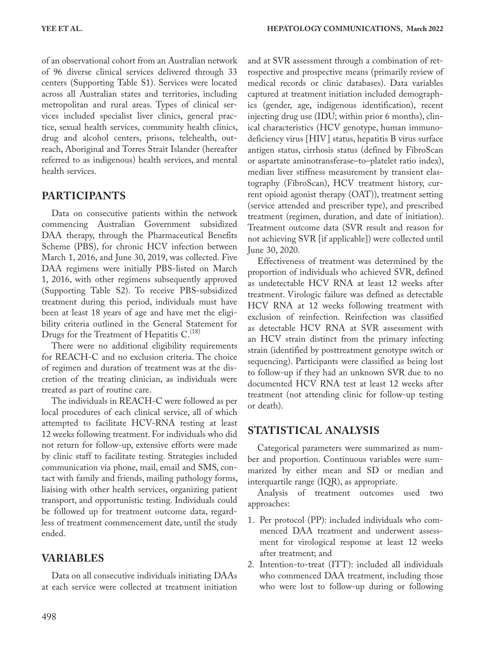of an observational cohort from an Australian network of 96 diverse clinical services delivered through 33 centers (Supporting Table S1). Services were located across all Australian states and territories, including metropolitan and rural areas. Types of clinical services included specialist liver clinics, general practice, sexual health services, community health clinics, drug and alcohol centers, prisons, telehealth, outreach, Aboriginal and Torres Strait Islander (hereafter referred to as indigenous) health services, and mental health services.

### **PARTICIPANTS**

Data on consecutive patients within the network commencing Australian Government subsidized DAA therapy, through the Pharmaceutical Benefits Scheme (PBS), for chronic HCV infection between March 1, 2016, and June 30, 2019, was collected. Five DAA regimens were initially PBS-listed on March 1, 2016, with other regimens subsequently approved (Supporting Table S2). To receive PBS-subsidized treatment during this period, individuals must have been at least 18 years of age and have met the eligibility criteria outlined in the General Statement for Drugs for the Treatment of Hepatitis  $C^{(18)}$ .

There were no additional eligibility requirements for REACH-C and no exclusion criteria. The choice of regimen and duration of treatment was at the discretion of the treating clinician, as individuals were treated as part of routine care.

The individuals in REACH-C were followed as per local procedures of each clinical service, all of which attempted to facilitate HCV-RNA testing at least 12 weeks following treatment. For individuals who did not return for follow-up, extensive efforts were made by clinic staff to facilitate testing. Strategies included communication via phone, mail, email and SMS, contact with family and friends, mailing pathology forms, liaising with other health services, organizing patient transport, and opportunistic testing. Individuals could be followed up for treatment outcome data, regardless of treatment commencement date, until the study ended.

# **VARIABLES**

Data on all consecutive individuals initiating DAAs at each service were collected at treatment initiation

and at SVR assessment through a combination of retrospective and prospective means (primarily review of medical records or clinic databases). Data variables captured at treatment initiation included demographics (gender, age, indigenous identification), recent injecting drug use (IDU; within prior 6 months), clinical characteristics (HCV genotype, human immunodeficiency virus [HIV] status, hepatitis B virus surface antigen status, cirrhosis status (defined by FibroScan or aspartate aminotransferase–to–platelet ratio index), median liver stiffness measurement by transient elastography (FibroScan), HCV treatment history, current opioid agonist therapy (OAT)), treatment setting (service attended and prescriber type), and prescribed treatment (regimen, duration, and date of initiation). Treatment outcome data (SVR result and reason for not achieving SVR [if applicable]) were collected until June 30, 2020.

Effectiveness of treatment was determined by the proportion of individuals who achieved SVR, defined as undetectable HCV RNA at least 12 weeks after treatment. Virologic failure was defined as detectable HCV RNA at 12 weeks following treatment with exclusion of reinfection. Reinfection was classified as detectable HCV RNA at SVR assessment with an HCV strain distinct from the primary infecting strain (identified by posttreatment genotype switch or sequencing). Participants were classified as being lost to follow-up if they had an unknown SVR due to no documented HCV RNA test at least 12 weeks after treatment (not attending clinic for follow-up testing or death).

## **STATISTICAL ANALYSIS**

Categorical parameters were summarized as number and proportion. Continuous variables were summarized by either mean and SD or median and interquartile range (IQR), as appropriate.

Analysis of treatment outcomes used two approaches:

- 1. Per protocol (PP): included individuals who commenced DAA treatment and underwent assessment for virological response at least 12 weeks after treatment; and
- 2. Intention-to-treat (ITT): included all individuals who commenced DAA treatment, including those who were lost to follow-up during or following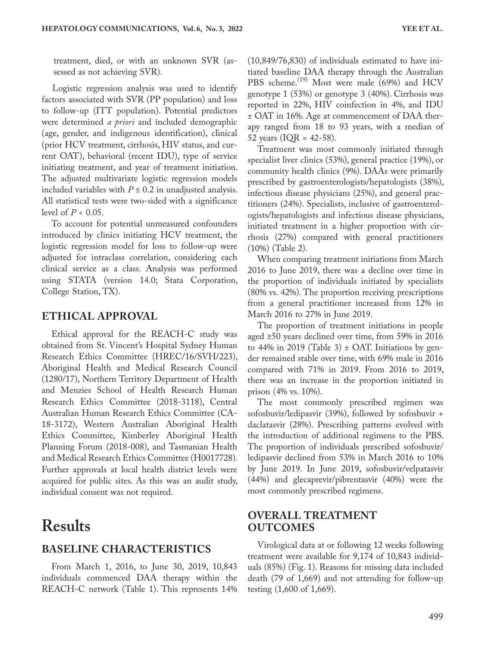treatment, died, or with an unknown SVR (assessed as not achieving SVR).

Logistic regression analysis was used to identify factors associated with SVR (PP population) and loss to follow-up (ITT population). Potential predictors were determined *a priori* and included demographic (age, gender, and indigenous identification), clinical (prior HCV treatment, cirrhosis, HIV status, and current OAT), behavioral (recent IDU), type of service initiating treatment, and year of treatment initiation. The adjusted multivariate logistic regression models included variables with  $P \le 0.2$  in unadjusted analysis. All statistical tests were two-sided with a significance level of *P* < 0.05.

To account for potential unmeasured confounders introduced by clinics initiating HCV treatment, the logistic regression model for loss to follow-up were adjusted for intraclass correlation, considering each clinical service as a class. Analysis was performed using STATA (version 14.0; Stata Corporation, College Station, TX).

#### **ETHICAL APPROVAL**

Ethical approval for the REACH-C study was obtained from St. Vincent's Hospital Sydney Human Research Ethics Committee (HREC/16/SVH/223), Aboriginal Health and Medical Research Council (1280/17), Northern Territory Department of Health and Menzies School of Health Research Human Research Ethics Committee (2018-3118), Central Australian Human Research Ethics Committee (CA-18-3172), Western Australian Aboriginal Health Ethics Committee, Kimberley Aboriginal Health Planning Forum (2018-008), and Tasmanian Health and Medical Research Ethics Committee (H0017728). Further approvals at local health district levels were acquired for public sites. As this was an audit study, individual consent was not required.

# **Results**

#### **BASELINE CHARACTERISTICS**

From March 1, 2016, to June 30, 2019, 10,843 individuals commenced DAA therapy within the REACH-C network (Table 1). This represents 14% (10,849/76,830) of individuals estimated to have initiated baseline DAA therapy through the Australian PBS scheme.<sup>(19)</sup> Most were male (69%) and HCV genotype 1 (53%) or genotype 3 (40%). Cirrhosis was reported in 22%, HIV coinfection in 4%, and IDU ± OAT in 16%. Age at commencement of DAA therapy ranged from 18 to 93 years, with a median of 52 years ( $IQR = 42-58$ ).

Treatment was most commonly initiated through specialist liver clinics (53%), general practice (19%), or community health clinics (9%). DAAs were primarily prescribed by gastroenterologists/hepatologists (38%), infectious disease physicians (25%), and general practitioners (24%). Specialists, inclusive of gastroenterologists/hepatologists and infectious disease physicians, initiated treatment in a higher proportion with cirrhosis (27%) compared with general practitioners (10%) (Table 2).

When comparing treatment initiations from March 2016 to June 2019, there was a decline over time in the proportion of individuals initiated by specialists (80% vs. 42%). The proportion receiving prescriptions from a general practitioner increased from 12% in March 2016 to 27% in June 2019.

The proportion of treatment initiations in people aged ≥50 years declined over time, from 59% in 2016 to 44% in 2019 (Table 3)  $\pm$  OAT. Initiations by gender remained stable over time, with 69% male in 2016 compared with 71% in 2019. From 2016 to 2019, there was an increase in the proportion initiated in prison (4% vs. 10%).

The most commonly prescribed regimen was sofosbuvir/ledipasvir (39%), followed by sofosbuvir + daclatasvir (28%). Prescribing patterns evolved with the introduction of additional regimens to the PBS. The proportion of individuals prescribed sofosbuvir/ ledipasvir declined from 53% in March 2016 to 10% by June 2019. In June 2019, sofosbuvir/velpatasvir (44%) and glecaprevir/pibrentasvir (40%) were the most commonly prescribed regimens.

### **OVERALL TREATMENT OUTCOMES**

Virological data at or following 12 weeks following treatment were available for 9,174 of 10,843 individuals (85%) (Fig. 1). Reasons for missing data included death (79 of 1,669) and not attending for follow-up testing (1,600 of 1,669).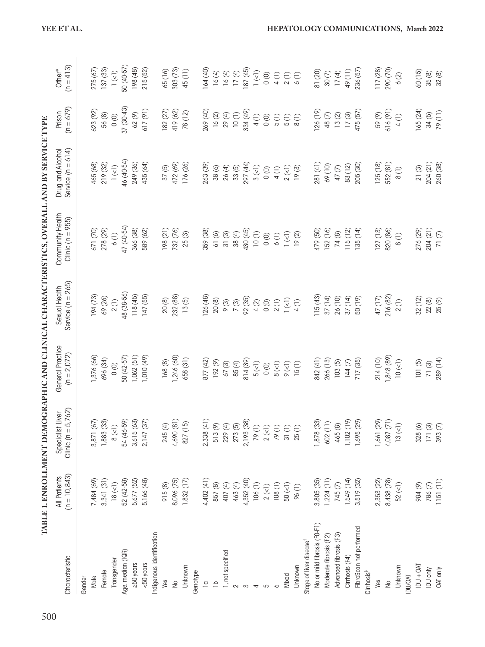|                                     | TABLE 1. ENROLLMENT DEMOGRAPHIC AND CLINICAL CHARACTERISTICS, OVERALL AND BY SERVICE TYPE |                                            |                                   |                                      |                                          |                                               |                       |                                               |
|-------------------------------------|-------------------------------------------------------------------------------------------|--------------------------------------------|-----------------------------------|--------------------------------------|------------------------------------------|-----------------------------------------------|-----------------------|-----------------------------------------------|
| Characteristic                      | $(n = 10, 843)$<br>All Patients                                                           | Clinic ( $n = 5,762$ )<br>Specialist Liver | General Practice<br>$(n = 2.072)$ | Service $(n = 265)$<br>Sexual Health | Community Health<br>Clinic ( $n = 955$ ) | Service $(n = 614)$<br>Drug and Alcohol       | $(n = 679)$<br>Prison | $(n = 413)$<br>Other*                         |
| Gender                              |                                                                                           |                                            |                                   |                                      |                                          |                                               |                       |                                               |
| Male                                | 7,484 (69)                                                                                | 3,871 (67)                                 | 1,376 (66)                        | 194(73)                              | 671 (70)                                 | 465 (68)                                      | 623 (92)              | 275(67)                                       |
| Female                              | 3,341(31)                                                                                 | 1,883 (33)                                 | 696 (34)                          | 69 (26)                              | 278 (29)                                 | 219 (32)                                      | $56(8)$               | 137 (33)                                      |
| Transgender                         | 18 (1)                                                                                    | $8$ (<1)                                   | $\circ$                           | 2(1)                                 | 6(1)                                     | $\mathsf{I}\left(\mathsf{C}\mathsf{I}\right)$ | $\circ$               | $\overline{1}$ (<1)                           |
| Age, median (IQR)                   | 52 (42-58)                                                                                | 54 (46-59)                                 | 50 (42-57)                        | 48 (38-56)                           | 47 (40-54)                               | 46 (40-54)                                    | $37(30-43)$           | 50 (40-57)                                    |
| $250$ years                         | 5,677 (52)                                                                                | 3,615(63)                                  | 1,062(51)                         | 118 (45)                             | 366 (38)                                 | 249 (36)                                      | 62 (9)                | 198 (48)                                      |
| <50 years                           | 5,166 (48)                                                                                | 2,147 (37)                                 | 1,010 (49)                        | 147 (55)                             | 589 (62)                                 | 435 (64)                                      | 617 (91)              | 215(52)                                       |
| Indigenous identification           |                                                                                           |                                            |                                   |                                      |                                          |                                               |                       |                                               |
| Ves                                 | 915(8)                                                                                    | 245(4)                                     | 168(8)                            | 20(8)                                | 198(21)                                  | 37(5)                                         | 182 (27)              | 65(16)                                        |
| $\frac{1}{2}$                       | 8,096 (75)                                                                                | 4,690 (81)                                 | 1,246 (60)                        | 232 (88)                             | 732 (76)                                 | 472 (69)                                      | 419 (62)              | 303(73)                                       |
| Unknown                             | $1,832$ (17)                                                                              | 827 (15)                                   | 658(31)                           | 13(5)                                | 25(3)                                    | 176 (26)                                      | 78 (12)               | 45 (11)                                       |
| Genotype                            |                                                                                           |                                            |                                   |                                      |                                          |                                               |                       |                                               |
| $\overline{a}$                      | 4,402 (41)                                                                                | 2,338(41)                                  | 877 (42)                          | 126 (48)                             | 359 (38)                                 | 263 (39)                                      | 269 (40)              | 164 (40)                                      |
| $\frac{1}{2}$                       | 857 (8)                                                                                   | 513(9)                                     | 192(9)                            | $20(8)$                              | 61(6)                                    | 38(6)                                         | 16(2)                 | 16(4)                                         |
| 1, not specified                    | 407(4)                                                                                    | 229 (4)                                    | 67(3)                             | $9(3)$                               | 31(3)                                    | 26(4)                                         | 29(4)                 | 16(4)                                         |
|                                     | 463(4)                                                                                    | 273(5)                                     | 85(4)                             | 7(3)                                 | 38(4)                                    | 33(5)                                         | 10(1)                 | 17(4)                                         |
| S                                   | 4,352 (40)                                                                                | 2,193 (38)                                 | 814 (39)                          | 92 (35)                              | 430 (45)                                 | 297 (44)                                      | 334 (49)              | 187(45)                                       |
| 4                                   | 106(1)                                                                                    | 79(1)                                      | $5($ $\leq$ $\frac{1}{2}$         | 4(2)                                 | $10(1)$                                  | $3($ <1)                                      | 4(1)                  | $\mathsf{I}\left(\mathsf{c}\mathsf{I}\right)$ |
| 5                                   | $2($ <1)                                                                                  | $2\left(\leq l\right)$                     | $\circ$                           | $\circ$                              | $\circ$                                  | $\circ$                                       | $\circ$               | $\circ$                                       |
|                                     | 108(1)                                                                                    | 79(1)                                      | $8$ $(<)$                         | 2(1)                                 | 6(1)                                     | 4(1)                                          | 5(1)                  | 4(1)                                          |
| Mixed                               | $50($ <1)                                                                                 | 31(1)                                      | $9$ (<1)                          | $1(\leq l)$                          | $1(\leq l)$                              | $2\ (\leqslant)$                              | 5(1)                  | $2(1)$                                        |
| Unknown                             | 96(l)                                                                                     | 25(1)                                      | 15(1)                             | 4(1)                                 | $19(2)$                                  | 19(3)                                         | $\frac{8}{1}$         | $6(1)$                                        |
| Stage of liver disease <sup>+</sup> |                                                                                           |                                            |                                   |                                      |                                          |                                               |                       |                                               |
| No or mild fibrosis (F0-F1)         | 3,805 (35)                                                                                | 1,878 (33)                                 | 842 (41)                          | 115(43)                              | 479 (50)                                 | 281 (41)                                      | 126 (19)              | 81 (20)                                       |
| Moderate fibrosis (F2)              | 1,224(11)                                                                                 | 602 (11)                                   | 266 (13)                          | 37(14)                               | 152(16)                                  | 69 (10)                                       | 48(7)                 | $30(7)$                                       |
| Advanced fibrosis (F3)              | 745(7)                                                                                    | 465 (8)                                    | 103(5)                            | 26 (10)                              | 74 (8)                                   | $47(7)$                                       | 13(2)                 | 17(4)                                         |
| Cirrhosis (F4)                      | 1,549(14)                                                                                 | 1,102(19)                                  | 144(7)                            | 37(14)                               | 115(12)                                  | 83 (12)                                       | 17(3)                 | 49(11)                                        |
| FibroScan not performed             | 3,519 (32)                                                                                | 1,695 (29)                                 | 717 (35)                          | 50 (19)                              | 135(14)                                  | 205 (30)                                      | 475 (57)              | 236 (57)                                      |
| $Cirthosis$ <sup>#</sup>            |                                                                                           |                                            |                                   |                                      |                                          |                                               |                       |                                               |
| Yes                                 | 2,353 (22)                                                                                | 1,661 (29)                                 | 214 (10)                          | 47(17)                               | 127(13)                                  | 125(18)                                       | 59(9)                 | 117 (28)                                      |
| $\geq$                              | 8,438 (78)                                                                                | 4,087 (71)                                 | 1,848 (89)                        | 216 (82)                             | 820 (86)                                 | 552 (81)                                      | 616(91)               | 290 (70)                                      |
| Unknown                             | $52 (-1)$                                                                                 | 13(1)                                      | $10($ < 1)                        | 2(1)                                 | $\frac{8}{10}$                           | $\frac{8}{1}$                                 | 4(1)                  | $6(2)$                                        |
| <b>IDU/OAT</b>                      |                                                                                           |                                            |                                   |                                      |                                          |                                               |                       |                                               |
| $DU + OAI$                          | 984 (9)                                                                                   | 328 (6)                                    | 101(5)                            | 32(12)                               | 276 (29)                                 | $21(3)$                                       | 165 (24)              | 60(15)                                        |
| <b>IDU</b> only                     | 786 (7)                                                                                   | 171(3)                                     | 71(3)                             | 22 (8)                               | 204 (21)                                 | 204 (21)                                      | 34(5)                 | 35(8)                                         |
| OAT only                            | 1151(11)                                                                                  | 393(7)                                     | 289 (14)                          | 25(9)                                | $71\,(7)$                                | 260 (38)                                      | 79(11)                | 32(8)                                         |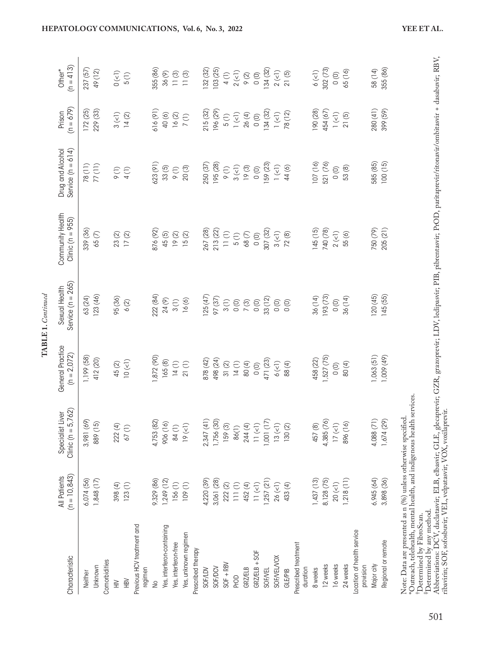|                                                                                                                                                                                                                                                                                                                                                                                                                                                                                     |                                        |                                                |                                   | TABLE 1. Continued                   |                                          |                                         |                                               |                       |
|-------------------------------------------------------------------------------------------------------------------------------------------------------------------------------------------------------------------------------------------------------------------------------------------------------------------------------------------------------------------------------------------------------------------------------------------------------------------------------------|----------------------------------------|------------------------------------------------|-----------------------------------|--------------------------------------|------------------------------------------|-----------------------------------------|-----------------------------------------------|-----------------------|
| Characteristic                                                                                                                                                                                                                                                                                                                                                                                                                                                                      | $(n = 10, 843)$<br><b>All Patients</b> | 762)<br>Specialist Liver<br>Clinic ( $n = 5,7$ | General Practice<br>$(n = 2.072)$ | Service $(n = 265)$<br>Sexual Health | Community Health<br>Clinic ( $n = 955$ ) | Service $(n = 614)$<br>Drug and Alcohol | $(n = 679)$<br>Prison                         | $(n = 413)$<br>Other* |
| Neither                                                                                                                                                                                                                                                                                                                                                                                                                                                                             | 6,074(56)                              | 3,981 (69)                                     | 1,199 (58)                        | 63 (24)                              | 339 (36)                                 | 78(11)                                  | 172(25)                                       | 237 (57)              |
| Unknown                                                                                                                                                                                                                                                                                                                                                                                                                                                                             | 1,848(17)                              | 889 (15)                                       | 412 (20)                          | 123(46)                              | 65 <sub>(7)</sub>                        | 77(11)                                  | 229 (33)                                      | 49 (12)               |
| Comorbidities                                                                                                                                                                                                                                                                                                                                                                                                                                                                       |                                        |                                                |                                   |                                      |                                          |                                         |                                               |                       |
| $\geqq$                                                                                                                                                                                                                                                                                                                                                                                                                                                                             | 398 (4)                                | 222 (4)                                        | 45(2)                             | 95 (36)                              | 23(2)                                    | $\circ$                                 | $3($ <1)                                      | $0\ (\!<\!\!1)$       |
| <b>NBN</b>                                                                                                                                                                                                                                                                                                                                                                                                                                                                          | 123(1)                                 | $67(1)$                                        | $10\,(\leqslant\!1)$              | 6(2)                                 | $17(2)$                                  | 4(1)                                    | 14(2)                                         | 5(1)                  |
| Previous HCV treatment and<br>regimen                                                                                                                                                                                                                                                                                                                                                                                                                                               |                                        |                                                |                                   |                                      |                                          |                                         |                                               |                       |
| ş                                                                                                                                                                                                                                                                                                                                                                                                                                                                                   | 9,329 (86)                             | 4,753 (82)                                     | 1,872 (90)                        | 222 (84)                             | 876 (92)                                 | 623 (91)                                | 616(91)                                       | 355 (86)              |
| Yes, interferon-containing                                                                                                                                                                                                                                                                                                                                                                                                                                                          | 1,249(12)                              | 906 (16)                                       | 165(8)                            | 24 (9)                               | 45(5)                                    | 33(5)                                   | 40(6)                                         | 36(9)                 |
| Yes, interferon-free                                                                                                                                                                                                                                                                                                                                                                                                                                                                | 156(1)                                 | 84(1)                                          | 14(1)                             | 3(1)                                 | 19(2)                                    | $\Theta$ (1)                            | 16(2)                                         | 11(3)                 |
| Yes, unknown regimen                                                                                                                                                                                                                                                                                                                                                                                                                                                                | 109(1)                                 | 19 (1)                                         | 21(1)                             | 16(6)                                | 15(2)                                    | 20(3)                                   | $\frac{1}{2}$                                 | $\overline{11}$ (3)   |
| Prescribed therapy                                                                                                                                                                                                                                                                                                                                                                                                                                                                  |                                        |                                                |                                   |                                      |                                          |                                         |                                               |                       |
| SOF/LDV                                                                                                                                                                                                                                                                                                                                                                                                                                                                             | 4,220 (39)                             | 2,347(41)                                      | 878 (42)                          | 125(47)                              | 267 (28)                                 | 250 (37)                                | 215(32)                                       | 132 (32)              |
| SOF/DCV                                                                                                                                                                                                                                                                                                                                                                                                                                                                             | 3,061 (28)                             | 1,756 (30)                                     | 498 (24)                          | 97 (37)                              | 213 (22)                                 | 195 (28)                                | 196 (29)                                      | 103 (25)              |
| $SOF + RBV$                                                                                                                                                                                                                                                                                                                                                                                                                                                                         | $222\ (2)$                             | 159(3)                                         | $31(2)$                           | 3(1)                                 | $\begin{array}{c} 11(1) \end{array}$     | $\circ$ (1)                             | 5(1)                                          | 4(1)                  |
| PrOD                                                                                                                                                                                                                                                                                                                                                                                                                                                                                | $\begin{array}{c} 111(1) \end{array}$  | 86(1)                                          | 14(1)                             | $\circ$                              | 5(1)                                     | $3\ (\leqslant)$                        | $\mathsf{I}\left(\mathsf{C}\mathsf{I}\right)$ | $2\left(\leq\right)$  |
| GRZÆLB                                                                                                                                                                                                                                                                                                                                                                                                                                                                              | 452 (4)                                | 244 (4)                                        | 80(4)                             | 7(3)                                 | 68(7)                                    | 19(3)                                   | 26(4)                                         | $\infty$              |
| $GRZ/ELB + SOF$                                                                                                                                                                                                                                                                                                                                                                                                                                                                     | $11~(\leq l)$                          | $11~(\leq l)$                                  | $\circ$                           | $\circ$                              | $\circ$                                  | $\circ$                                 | $\circ$                                       | $\circ$               |
| <b>SOF/VEL</b>                                                                                                                                                                                                                                                                                                                                                                                                                                                                      | 1,257(21)                              | 1,001(17)                                      | 471 (23)                          | 33 (12)                              | 307 (32)                                 | 159 (23)                                | 134 (32)                                      | 134 (32)              |
| SOF/VEL/VOX                                                                                                                                                                                                                                                                                                                                                                                                                                                                         | 26 (1)                                 | 13(1)                                          | $6($ <1)                          | $\circ$                              | $3(\leq)$                                | $\mid$ $(\leq \mid)$                    | $1(\leq l)$                                   | 2(1)                  |
| <b>GLE/PIB</b>                                                                                                                                                                                                                                                                                                                                                                                                                                                                      | 433 (4)                                | 130(2)                                         | 88(4)                             | $\circ$                              | 72(8)                                    | 44(6)                                   | 78 (12)                                       | 21(5)                 |
| Prescribed treatment                                                                                                                                                                                                                                                                                                                                                                                                                                                                |                                        |                                                |                                   |                                      |                                          |                                         |                                               |                       |
| duration                                                                                                                                                                                                                                                                                                                                                                                                                                                                            |                                        |                                                |                                   |                                      |                                          |                                         |                                               |                       |
| 8 weeks                                                                                                                                                                                                                                                                                                                                                                                                                                                                             | 1,437(13)                              | 457 (8)                                        | 458 (22)                          | 36 (14)                              | 145(15)                                  | 107(16)                                 | 190 (28)                                      | $6$ $(<$ $\!1)$       |
| 12 weeks                                                                                                                                                                                                                                                                                                                                                                                                                                                                            | 8,128 (75)                             | 4,385 (76)                                     | 1,527(75)                         | 193 (73)                             | 740 (78)                                 | 521 (76)                                | 454 (67)                                      | 302(73)               |
| 16 weeks                                                                                                                                                                                                                                                                                                                                                                                                                                                                            | $20($ <1)                              | $17$ $(\leqslant)$                             | $\circ$                           | $\circ$                              | $2($ < $1)$                              | 0(0)                                    | $1(\leq l)$                                   | $\circ$               |
| 24 weeks                                                                                                                                                                                                                                                                                                                                                                                                                                                                            | 1,218(11)                              | 896 (16)                                       | 80(4)                             | 36 (14)                              | 55(6)                                    | 53 (8)                                  | 21(5)                                         | 65 (16)               |
| Location of health service<br>provision                                                                                                                                                                                                                                                                                                                                                                                                                                             |                                        |                                                |                                   |                                      |                                          |                                         |                                               |                       |
| Major city                                                                                                                                                                                                                                                                                                                                                                                                                                                                          | 6,945 (64)                             | 4,088 (71)                                     | 1,063(51)                         | 120(45)                              | 750 (79)                                 | 585 (85)                                | 280 (41)                                      | 58 (14)               |
| Regional or remote                                                                                                                                                                                                                                                                                                                                                                                                                                                                  | 3,898 (36)                             | 1,674 (29)                                     | 1,009 (49)                        | 145 (55)                             | 205(21)                                  | 100(15)                                 | 399 (59)                                      | 355 (86)              |
| <sup>†</sup> Determined by any method.<br>Abbreviations: DCV, daclatasvir; ELB, elbasv <u>ir;</u> GLE, glecaprevir; GZR, grazoprevir; LDV, ledipasvir; PIB, pibrentasvir; PrOD, paritaprevir/ritonavir/ombitasvir + dasabuvir; RBV,<br>Abbreviations<br>ribavirin; SOF, sofosbuvir; VEL, velpatasvir; VOX, voxilaprevir.<br>Note: Data are presented as n (%) unless otherwise specified<br>*Outreach, telehealth, mental health, and indigenous health<br>Determined by FibroScan. |                                        | services                                       |                                   |                                      |                                          |                                         |                                               |                       |

501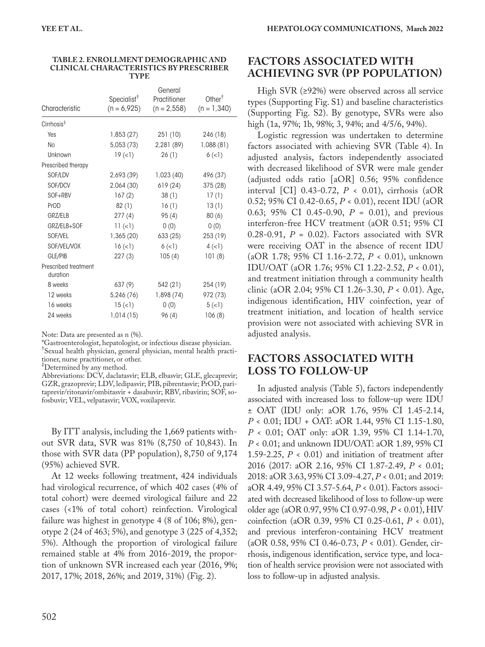| Characteristic                   | Specialist <sup>†</sup> | General<br>Practitioner | Other <sup>†</sup> |
|----------------------------------|-------------------------|-------------------------|--------------------|
|                                  | $(n = 6.925)$           | $(n = 2, 558)$          | $(n = 1,340)$      |
| $Cirrhosis*$                     |                         |                         |                    |
| Yes                              | 1,853(27)               | 251(10)                 | 246 (18)           |
| <b>No</b>                        | 5,053 (73)              | 2,281(89)               | 1,088 (81)         |
| Unknown                          | 19(1)                   | 26(1)                   | 6(1)               |
| Prescribed therapy               |                         |                         |                    |
| SOF/LDV                          | 2,693 (39)              | 1,023(40)               | 496 (37)           |
| SOF/DCV                          | 2,064 (30)              | 619 (24)                | 375 (28)           |
| SOF+RBV                          | 167(2)                  | 38(1)                   | 17(1)              |
| PrOD                             | 82 (1)                  | 16(1)                   | 13(1)              |
| GRZ/ELB                          | 277(4)                  | 95(4)                   | 80(6)              |
| GRZ/ELB+SOF                      | $11 (=1)$               | 0(0)                    | 0(0)               |
| SOF/VEL                          | 1,365(20)               | 633 (25)                | 253 (19)           |
| SOF/VEL/VOX                      | 16 (1)                  | 6(1)                    | 4(1)               |
| GLE/PIB                          | 227(3)                  | 105(4)                  | 101(8)             |
| Prescribed treatment<br>duration |                         |                         |                    |
| 8 weeks                          | 637 (9)                 | 542 (21)                | 254 (19)           |
| 12 weeks                         | 5,246 (76)              | 1,898 (74)              | 972 (73)           |
| 16 weeks                         | 15(                     | 0(0)                    | 5(1)               |
| 24 weeks                         | 1,014(15)               | 96(4)                   | 106(8)             |

#### **TABLE 2. ENROLLMENT DEMOGRAPHIC AND CLINICAL CHARACTERISTICS BY PRESCRIBER TYPE**

Note: Data are presented as n (%).

\*Gastroenterologist, hepatologist, or infectious disease physician. † Sexual health physician, general physician, mental health practitioner, nurse practitioner, or other.

‡ Determined by any method.

Abbreviations: DCV, daclatasvir; ELB, elbasvir; GLE, glecaprevir; GZR, grazoprevir; LDV, ledipasvir; PIB, pibrentasvir; PrOD, paritaprevir/ritonavir/ombitasvir + dasabuvir; RBV, ribavirin; SOF, sofosbuvir; VEL, velpatasvir; VOX, voxilaprevir.

By ITT analysis, including the 1,669 patients without SVR data, SVR was 81% (8,750 of 10,843). In those with SVR data (PP population), 8,750 of 9,174 (95%) achieved SVR.

At 12 weeks following treatment, 424 individuals had virological recurrence, of which 402 cases (4% of total cohort) were deemed virological failure and 22 cases (<1% of total cohort) reinfection. Virological failure was highest in genotype 4 (8 of 106; 8%), genotype 2 (24 of 463; 5%), and genotype 3 (225 of 4,352; 5%). Although the proportion of virological failure remained stable at 4% from 2016-2019, the proportion of unknown SVR increased each year (2016, 9%; 2017, 17%; 2018, 26%; and 2019, 31%) (Fig. 2).

### **FACTORS ASSOCIATED WITH ACHIEVING SVR (PP POPULATION)**

High SVR (≥92%) were observed across all service types (Supporting Fig. S1) and baseline characteristics (Supporting Fig. S2). By genotype, SVRs were also high (1a, 97%; 1b, 98%; 3, 94%; and 4/5/6, 94%).

Logistic regression was undertaken to determine factors associated with achieving SVR (Table 4). In adjusted analysis, factors independently associated with decreased likelihood of SVR were male gender (adjusted odds ratio [aOR] 0.56; 95% confidence interval [CI] 0.43-0.72, *P* < 0.01), cirrhosis (aOR 0.52; 95% CI 0.42-0.65, *P* < 0.01), recent IDU (aOR 0.63; 95% CI 0.45-0.90, *P* = 0.01), and previous interferon-free HCV treatment (aOR 0.51; 95% CI  $0.28-0.91$ ,  $P = 0.02$ ). Factors associated with SVR were receiving OAT in the absence of recent IDU (aOR 1.78; 95% CI 1.16-2.72, *P* < 0.01), unknown IDU/OAT (aOR 1.76; 95% CI 1.22-2.52, *P* < 0.01), and treatment initiation through a community health clinic (aOR 2.04; 95% CI 1.26-3.30, *P* < 0.01). Age, indigenous identification, HIV coinfection, year of treatment initiation, and location of health service provision were not associated with achieving SVR in adjusted analysis.

### **FACTORS ASSOCIATED WITH LOSS TO FOLLOW-UP**

In adjusted analysis (Table 5), factors independently associated with increased loss to follow-up were IDU ± OAT (IDU only: aOR 1.76, 95% CI 1.45-2.14, *P* < 0.01; IDU + OAT: aOR 1.44, 95% CI 1.15-1.80, *P* < 0.01; OAT only: aOR 1.39, 95% CI 1.14-1.70, *P* < 0.01; and unknown IDU/OAT: aOR 1.89, 95% CI 1.59-2.25,  $P < 0.01$ ) and initiation of treatment after 2016 (2017: aOR 2.16, 95% CI 1.87-2.49, *P* < 0.01; 2018: aOR 3.63, 95% CI 3.09-4.27, *P* < 0.01; and 2019: aOR 4.49, 95% CI 3.57-5.64, *P* < 0.01). Factors associated with decreased likelihood of loss to follow-up were older age (aOR 0.97, 95% CI 0.97-0.98, *P* < 0.01), HIV coinfection (aOR 0.39, 95% CI 0.25-0.61, *P* < 0.01), and previous interferon-containing HCV treatment (aOR 0.58, 95% CI 0.46-0.73, *P* < 0.01). Gender, cirrhosis, indigenous identification, service type, and location of health service provision were not associated with loss to follow-up in adjusted analysis.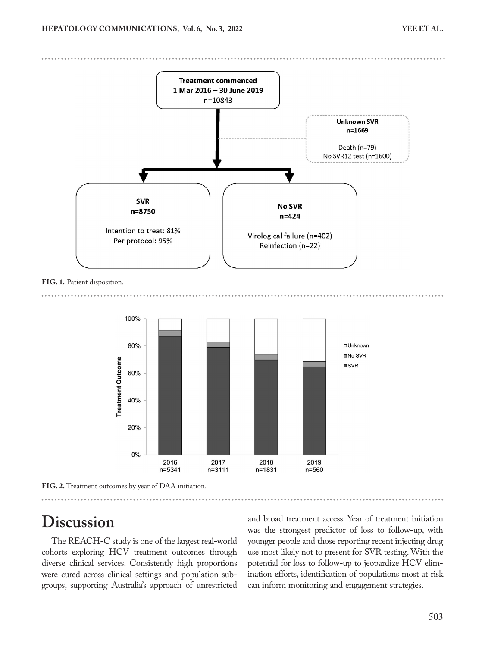

**FIG. 1.** Patient disposition.



**FIG. 2.** Treatment outcomes by year of DAA initiation.

# **Discussion**

The REACH-C study is one of the largest real-world cohorts exploring HCV treatment outcomes through diverse clinical services. Consistently high proportions were cured across clinical settings and population subgroups, supporting Australia's approach of unrestricted and broad treatment access. Year of treatment initiation was the strongest predictor of loss to follow-up, with younger people and those reporting recent injecting drug use most likely not to present for SVR testing. With the potential for loss to follow-up to jeopardize HCV elimination efforts, identification of populations most at risk can inform monitoring and engagement strategies.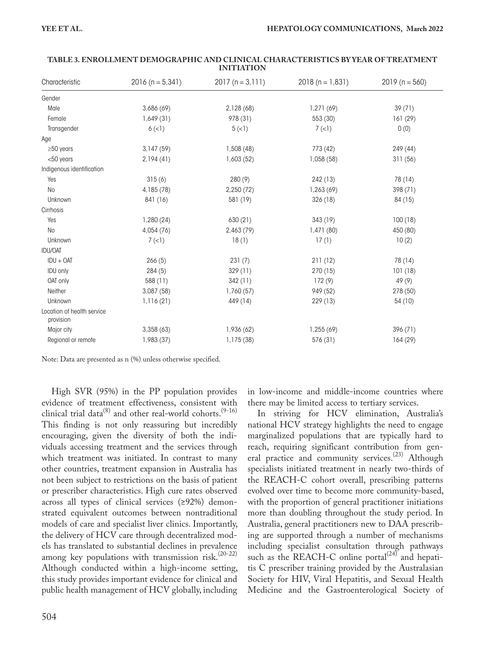| Characteristic                          | $2016 (n = 5,341)$ | $2017(n = 3, 111)$ | $2018 (n = 1,831)$ | $2019(n = 560)$ |
|-----------------------------------------|--------------------|--------------------|--------------------|-----------------|
| Gender                                  |                    |                    |                    |                 |
| Male                                    | 3,686 (69)         | 2,128 (68)         | 1,271(69)          | 39(71)          |
| Female                                  | 1,649(31)          | 978 (31)           | 553 (30)           | 161 (29)        |
| Transgender                             | 6(1)               | 5(1)               | 7(1)               | 0(0)            |
| Age                                     |                    |                    |                    |                 |
| $\geq$ 50 years                         | 3,147(59)          | 1,508(48)          | 773 (42)           | 249 (44)        |
| $<$ 50 years                            | 2,194(41)          | 1,603(52)          | 1,058 (58)         | 311(56)         |
| Indigenous identification               |                    |                    |                    |                 |
| Yes                                     | 315(6)             | 280(9)             | 242 (13)           | 78 (14)         |
| <b>No</b>                               | 4,185 (78)         | 2,250 (72)         | 1,263 (69)         | 398 (71)        |
| Unknown                                 | 841 (16)           | 581 (19)           | 326 (18)           | 84 (15)         |
| Cirrhosis                               |                    |                    |                    |                 |
| Yes                                     | 1,280(24)          | 630(21)            | 343 (19)           | 100(18)         |
| <b>No</b>                               | 4,054 (76)         | 2,463 (79)         | 1,471(80)          | 450 (80)        |
| Unknown                                 | 7(1)               | 18(1)              | 17(1)              | 10(2)           |
| <b>IDU/OAT</b>                          |                    |                    |                    |                 |
| $IDU + OAT$                             | 266(5)             | 231(7)             | 211(12)            | 78 (14)         |
| <b>IDU only</b>                         | 284(5)             | 329 (11)           | 270 (15)           | 101(18)         |
| OAT only                                | 588 (11)           | 342(11)            | 172(9)             | 49(9)           |
| Neither                                 | 3,087 (58)         | 1,760(57)          | 949 (52)           | 278 (50)        |
| Unknown                                 | 1,116(21)          | 449 (14)           | 229 (13)           | 54 (10)         |
| Location of health service<br>provision |                    |                    |                    |                 |
| Major city                              | 3,358(63)          | 1,936 (62)         | 1,255 (69)         | 396 (71)        |
| Regional or remote                      | 1,983 (37)         | 1,175 (38)         | 576 (31)           | 164 (29)        |

#### **TABLE 3. ENROLLMENT DEMOGRAPHIC AND CLINICAL CHARACTERISTICS BY YEAR OF TREATMENT INITIATION**

Note: Data are presented as n (%) unless otherwise specified.

High SVR (95%) in the PP population provides evidence of treatment effectiveness, consistent with clinical trial data<sup>(8)</sup> and other real-world cohorts.<sup>(9-16)</sup> This finding is not only reassuring but incredibly encouraging, given the diversity of both the individuals accessing treatment and the services through which treatment was initiated. In contrast to many other countries, treatment expansion in Australia has not been subject to restrictions on the basis of patient or prescriber characteristics. High cure rates observed across all types of clinical services (≥92%) demonstrated equivalent outcomes between nontraditional models of care and specialist liver clinics. Importantly, the delivery of HCV care through decentralized models has translated to substantial declines in prevalence among key populations with transmission risk.<sup>(20-22)</sup> Although conducted within a high-income setting, this study provides important evidence for clinical and public health management of HCV globally, including in low-income and middle-income countries where there may be limited access to tertiary services.

In striving for HCV elimination, Australia's national HCV strategy highlights the need to engage marginalized populations that are typically hard to reach, requiring significant contribution from general practice and community services.<sup>(23)</sup> Although specialists initiated treatment in nearly two-thirds of the REACH-C cohort overall, prescribing patterns evolved over time to become more community-based, with the proportion of general practitioner initiations more than doubling throughout the study period. In Australia, general practitioners new to DAA prescribing are supported through a number of mechanisms including specialist consultation through pathways such as the REACH-C online portal $(24)$  and hepatitis C prescriber training provided by the Australasian Society for HIV, Viral Hepatitis, and Sexual Health Medicine and the Gastroenterological Society of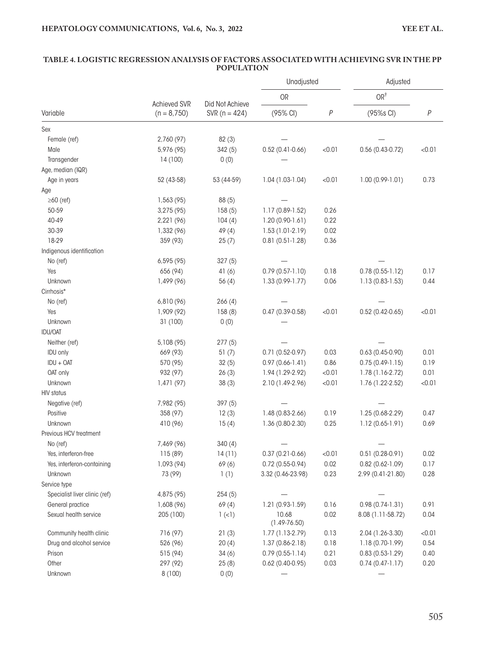|                               |                                |                   | Unadjusted                |        | Adjusted            |        |
|-------------------------------|--------------------------------|-------------------|---------------------------|--------|---------------------|--------|
|                               |                                | Did Not Achieve   | <b>OR</b>                 |        | OR <sup>†</sup>     |        |
| Variable                      | Achieved SVR<br>$(n = 8, 750)$ | SVR ( $n = 424$ ) | (95% CI)                  | $\,P$  | (95%s CI)           | $\,P$  |
| Sex                           |                                |                   |                           |        |                     |        |
| Female (ref)                  | 2,760 (97)                     | 82(3)             |                           |        |                     |        |
| Male                          | 5,976 (95)                     | 342(5)            | $0.52(0.41 - 0.66)$       | < 0.01 | $0.56(0.43-0.72)$   | < 0.01 |
| Transgender                   | 14 (100)                       | 0(0)              |                           |        |                     |        |
| Age, median (IQR)             |                                |                   |                           |        |                     |        |
| Age in years                  | 52 (43-58)                     | 53 (44-59)        | $1.04(1.03-1.04)$         | < 0.01 | $1.00(0.99-1.01)$   | 0.73   |
| Age                           |                                |                   |                           |        |                     |        |
| $\geq 60$ (ref)               | 1,563 (95)                     | 88 (5)            |                           |        |                     |        |
| 50-59                         | 3,275 (95)                     | 158(5)            | 1.17 (0.89-1.52)          | 0.26   |                     |        |
| 40-49                         | 2,221 (96)                     | 104(4)            | $1.20(0.90-1.61)$         | 0.22   |                     |        |
| 30-39                         | 1,332 (96)                     | 49(4)             | 1.53 (1.01-2.19)          | 0.02   |                     |        |
| 18-29                         | 359 (93)                       | 25(7)             | $0.81(0.51-1.28)$         | 0.36   |                     |        |
| Indigenous identification     |                                |                   |                           |        |                     |        |
| No (ref)                      | 6,595 (95)                     | 327(5)            |                           |        |                     |        |
| Yes                           | 656 (94)                       | 41(6)             | $0.79(0.57-1.10)$         | 0.18   | $0.78(0.55-1.12)$   | 0.17   |
| Unknown                       | 1,499 (96)                     | 56(4)             | $1.33(0.99-1.77)$         | 0.06   | 1.13 (0.83-1.53)    | 0.44   |
| Cirrhosis*                    |                                |                   |                           |        |                     |        |
| No (ref)                      | 6,810 (96)                     | 266(4)            |                           |        |                     |        |
| Yes                           | 1,909 (92)                     | 158(8)            | $0.47(0.39 - 0.58)$       | < 0.01 | $0.52(0.42-0.65)$   | < 0.01 |
| Unknown                       | 31 (100)                       | 0(0)              |                           |        |                     |        |
| <b>IDU/OAT</b>                |                                |                   |                           |        |                     |        |
| Neither (ref)                 | 5,108 (95)                     | 277(5)            |                           |        |                     |        |
| <b>IDU only</b>               | 669 (93)                       | 51(7)             | $0.71(0.52-0.97)$         | 0.03   | $0.63(0.45-0.90)$   | 0.01   |
| IDU + OAT                     | 570 (95)                       | 32(5)             | $0.97(0.66 - 1.41)$       | 0.86   | $0.75(0.49-1.15)$   | 0.19   |
| OAT only                      | 932 (97)                       | 26(3)             | 1.94 (1.29-2.92)          | < 0.01 | 1.78 (1.16-2.72)    | 0.01   |
| Unknown                       | 1,471 (97)                     | 38(3)             | 2.10 (1.49-2.96)          | < 0.01 | 1.76 (1.22-2.52)    | < 0.01 |
| <b>HIV status</b>             |                                |                   |                           |        |                     |        |
| Negative (ref)                | 7,982 (95)                     | 397(5)            |                           |        |                     |        |
| Positive                      | 358 (97)                       | 12(3)             | 1.48 (0.83-2.66)          | 0.19   | 1.25 (0.68-2.29)    | 0.47   |
| Unknown                       | 410 (96)                       | 15(4)             | 1.36 (0.80-2.30)          | 0.25   | $1.12(0.65-1.91)$   | 0.69   |
| Previous HCV treatment        |                                |                   |                           |        |                     |        |
| No (ref)                      | 7,469 (96)                     | 340(4)            |                           |        |                     |        |
| Yes, interferon-free          | 115(89)                        | 14(11)            | $0.37(0.21-0.66)$         | < 0.01 | $0.51(0.28-0.91)$   | 0.02   |
| Yes, interferon-containing    | 1,093 (94)                     | 69(6)             | $0.72(0.55-0.94)$         | 0.02   | $0.82(0.62 - 1.09)$ | 0.17   |
| Unknown                       | 73 (99)                        | 1(1)              | 3.32 (0.46-23.98)         | 0.23   | 2.99 (0.41-21.80)   | 0.28   |
| Service type                  |                                |                   |                           |        |                     |        |
| Specialist liver clinic (ref) | 4,875 (95)                     | 254(5)            |                           |        |                     |        |
| General practice              | 1,608 (96)                     | 69(4)             | 1.21 (0.93-1.59)          | 0.16   | $0.98(0.74-1.31)$   | 0.91   |
| Sexual health service         | 205 (100)                      | $1(\le)$          | 10.68<br>$(1.49 - 76.50)$ | 0.02   | 8.08 (1.11-58.72)   | 0.04   |
| Community health clinic       | 716 (97)                       | 21(3)             | $1.77(1.13-2.79)$         | 0.13   | 2.04 (1.26-3.30)    | < 0.01 |
| Drug and alcohol service      | 526 (96)                       | 20(4)             | $1.37(0.86 - 2.18)$       | 0.18   | 1.18 (0.70-1.99)    | 0.54   |
| Prison                        | 515 (94)                       | 34(6)             | $0.79(0.55-1.14)$         | 0.21   | $0.83(0.53-1.29)$   | 0.40   |
| Other                         | 297 (92)                       | 25(8)             | $0.62(0.40-0.95)$         | 0.03   | $0.74(0.47-1.17)$   | 0.20   |
| Unknown                       | 8(100)                         | 0(0)              |                           |        |                     |        |

#### **TABLE 4. LOGISTIC REGRESSION ANALYSIS OF FACTORS ASSOCIATED WITH ACHIEVING SVR IN THE PP POPULATION**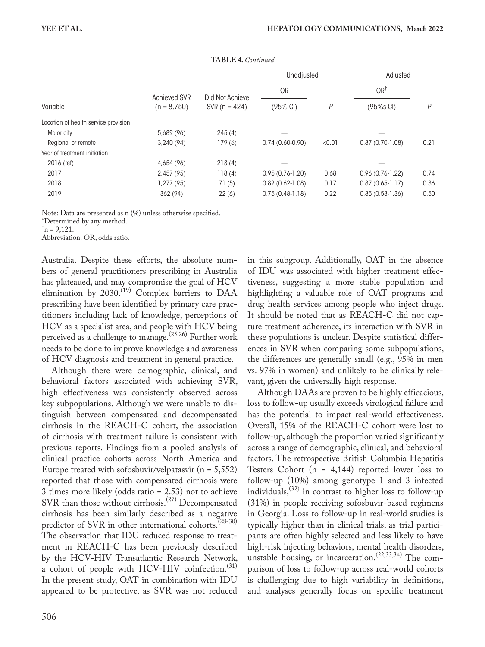|                                      |               |                 | Unadjusted        |        | Adjusted          |      |
|--------------------------------------|---------------|-----------------|-------------------|--------|-------------------|------|
|                                      | Achieved SVR  | Did Not Achieve | <b>OR</b>         |        | OR <sup>†</sup>   |      |
| Variable                             | $(n = 8.750)$ | SVR $(n = 424)$ | (95% CI)          | P      | (95%s CI)         | P    |
| Location of health service provision |               |                 |                   |        |                   |      |
| Major city                           | 5,689 (96)    | 245(4)          |                   |        |                   |      |
| Regional or remote                   | 3,240(94)     | 179(6)          | $0.74(0.60-0.90)$ | < 0.01 | $0.87(0.70-1.08)$ | 0.21 |
| Year of treatment initiation         |               |                 |                   |        |                   |      |
| $2016$ (ref)                         | 4,654 (96)    | 213(4)          |                   |        |                   |      |
| 2017                                 | 2,457(95)     | 118(4)          | $0.95(0.76-1.20)$ | 0.68   | $0.96(0.76-1.22)$ | 0.74 |
| 2018                                 | 1,277(95)     | 71(5)           | $0.82(0.62-1.08)$ | 0.17   | $0.87(0.65-1.17)$ | 0.36 |
| 2019                                 | 362 (94)      | 22(6)           | $0.75(0.48-1.18)$ | 0.22   | $0.85(0.53-1.36)$ | 0.50 |

**TABLE 4.** *Continued*

Note: Data are presented as n (%) unless otherwise specified.

\*Determined by any method.

 $\tau_{\rm n}$  = 9,121.

Abbreviation: OR, odds ratio.

Australia. Despite these efforts, the absolute numbers of general practitioners prescribing in Australia has plateaued, and may compromise the goal of HCV elimination by 2030.<sup>(19)</sup> Complex barriers to DAA prescribing have been identified by primary care practitioners including lack of knowledge, perceptions of HCV as a specialist area, and people with HCV being perceived as a challenge to manage.<sup>(25,26)</sup> Further work needs to be done to improve knowledge and awareness of HCV diagnosis and treatment in general practice.

Although there were demographic, clinical, and behavioral factors associated with achieving SVR, high effectiveness was consistently observed across key subpopulations. Although we were unable to distinguish between compensated and decompensated cirrhosis in the REACH-C cohort, the association of cirrhosis with treatment failure is consistent with previous reports. Findings from a pooled analysis of clinical practice cohorts across North America and Europe treated with sofosbuvir/velpatasvir  $(n = 5,552)$ reported that those with compensated cirrhosis were 3 times more likely (odds ratio = 2.53) not to achieve SVR than those without cirrhosis.<sup>(27)</sup> Decompensated cirrhosis has been similarly described as a negative predictor of SVR in other international cohorts.<sup>(28-30)</sup> The observation that IDU reduced response to treatment in REACH-C has been previously described by the HCV-HIV Transatlantic Research Network, a cohort of people with HCV-HIV coinfection.<sup>(31)</sup> In the present study, OAT in combination with IDU appeared to be protective, as SVR was not reduced

in this subgroup. Additionally, OAT in the absence of IDU was associated with higher treatment effectiveness, suggesting a more stable population and highlighting a valuable role of OAT programs and drug health services among people who inject drugs. It should be noted that as REACH-C did not capture treatment adherence, its interaction with SVR in these populations is unclear. Despite statistical differences in SVR when comparing some subpopulations, the differences are generally small (e.g., 95% in men vs. 97% in women) and unlikely to be clinically relevant, given the universally high response.

Although DAAs are proven to be highly efficacious, loss to follow-up usually exceeds virological failure and has the potential to impact real-world effectiveness. Overall, 15% of the REACH-C cohort were lost to follow-up, although the proportion varied significantly across a range of demographic, clinical, and behavioral factors. The retrospective British Columbia Hepatitis Testers Cohort  $(n = 4,144)$  reported lower loss to follow-up (10%) among genotype 1 and 3 infected individuals,  $(32)$  in contrast to higher loss to follow-up (31%) in people receiving sofosbuvir-based regimens in Georgia. Loss to follow-up in real-world studies is typically higher than in clinical trials, as trial participants are often highly selected and less likely to have high-risk injecting behaviors, mental health disorders, unstable housing, or incarceration.<sup> $(22,33,34)$ </sup> The comparison of loss to follow-up across real-world cohorts is challenging due to high variability in definitions, and analyses generally focus on specific treatment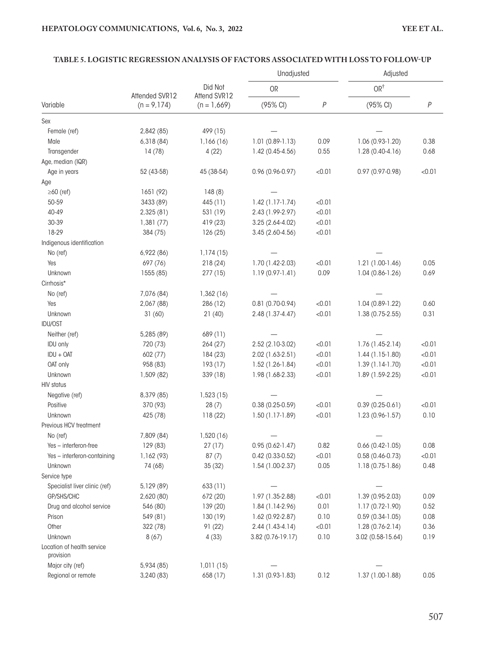#### **TABLE 5. LOGISTIC REGRESSION ANALYSIS OF FACTORS ASSOCIATED WITH LOSS TO FOLLOW-UP**

|                                         |                |                         | Unadjusted          |        | Adjusted            |        |
|-----------------------------------------|----------------|-------------------------|---------------------|--------|---------------------|--------|
|                                         | Attended SVR12 | Did Not<br>Attend SVR12 | OR                  |        | OR <sup>†</sup>     |        |
| Variable                                | $(n = 9, 174)$ | $(n = 1,669)$           | (95% CI)            | P      | (95% CI)            | $\,P$  |
| Sex                                     |                |                         |                     |        |                     |        |
| Female (ref)                            | 2,842 (85)     | 499 (15)                |                     |        |                     |        |
| Male                                    | 6,318(84)      | 1,166(16)               | $1.01(0.89-1.13)$   | 0.09   | 1.06 (0.93-1.20)    | 0.38   |
| Transgender                             | 14(78)         | 4(22)                   | 1.42 (0.45-4.56)    | 0.55   | $1.28(0.40-4.16)$   | 0.68   |
| Age, median (IQR)                       |                |                         |                     |        |                     |        |
| Age in years                            | 52 (43-58)     | 45 (38-54)              | 0.96 (0.96-0.97)    | < 0.01 | $0.97(0.97-0.98)$   | < 0.01 |
| Age                                     |                |                         |                     |        |                     |        |
| $\geq 60$ (ref)                         | 1651 (92)      | 148(8)                  |                     |        |                     |        |
| 50-59                                   | 3433 (89)      | 445 (11)                | $1.42(1.17-1.74)$   | < 0.01 |                     |        |
| 40-49                                   | 2,325 (81)     | 531 (19)                | 2.43 (1.99-2.97)    | < 0.01 |                     |        |
| 30-39                                   | 1,381(77)      | 419 (23)                | 3.25 (2.64-4.02)    | < 0.01 |                     |        |
| 18-29                                   | 384 (75)       | 126(25)                 | $3.45(2.60-4.56)$   | < 0.01 |                     |        |
| Indigenous identification               |                |                         |                     |        |                     |        |
| No (ref)                                | 6,922 (86)     | 1,174(15)               |                     |        |                     |        |
| Yes                                     | 697 (76)       | 218 (24)                | 1.70 (1.42-2.03)    | < 0.01 | $1.21(1.00-1.46)$   | 0.05   |
| Unknown                                 | 1555 (85)      | 277(15)                 | $1.19(0.97-1.41)$   | 0.09   | $1.04(0.86-1.26)$   | 0.69   |
| Cirrhosis*                              |                |                         |                     |        |                     |        |
| No (ref)                                | 7,076 (84)     | 1,362 (16)              |                     |        |                     |        |
| Yes                                     | 2,067 (88)     | 286 (12)                | $0.81(0.70-0.94)$   | < 0.01 | $1.04(0.89-1.22)$   | 0.60   |
| Unknown                                 | 31(60)         | 21(40)                  | 2.48 (1.37-4.47)    | < 0.01 | 1.38 (0.75-2.55)    | 0.31   |
| <b>IDU/OST</b>                          |                |                         |                     |        |                     |        |
| Neither (ref)                           | 5,285 (89)     | 689 (11)                |                     |        |                     |        |
| <b>IDU</b> only                         | 720 (73)       | 264 (27)                | 2.52 (2.10-3.02)    | < 0.01 | 1.76 (1.45-2.14)    | < 0.01 |
| $IDU + OAT$                             | 602 (77)       | 184 (23)                | 2.02 (1.63-2.51)    | < 0.01 | $1.44(1.15-1.80)$   | < 0.01 |
| OAT only                                | 958 (83)       | 193 (17)                | 1.52 (1.26-1.84)    | < 0.01 | $1.39(1.14-1.70)$   | < 0.01 |
| Unknown                                 | 1,509 (82)     | 339 (18)                | 1.98 (1.68-2.33)    | < 0.01 | 1.89 (1.59-2.25)    | < 0.01 |
| <b>HIV status</b>                       |                |                         |                     |        |                     |        |
| Negative (ref)                          | 8,379 (85)     | 1,523(15)               |                     |        |                     |        |
| Positive                                | 370 (93)       | 28(7)                   | $0.38(0.25-0.59)$   | < 0.01 | $0.39(0.25-0.61)$   | < 0.01 |
| Unknown                                 | 425 (78)       | 118(22)                 | $1.50(1.17-1.89)$   | < 0.01 | $1.23(0.96 - 1.57)$ | 0.10   |
| Previous HCV treatment                  |                |                         |                     |        |                     |        |
| No (ref)                                | 7,809 (84)     | 1,520 (16)              |                     |        |                     |        |
| Yes - interferon-free                   | 129 (83)       | 27(17)                  | $0.95(0.62-1.47)$   | 0.82   | $0.66(0.42-1.05)$   | 0.08   |
| Yes - interferon-containing             | 1,162 (93)     | 87(7)                   | $0.42(0.33 - 0.52)$ | < 0.01 | $0.58(0.46 - 0.73)$ | < 0.01 |
| Unknown                                 | 74 (68)        | 35(32)                  | 1.54 (1.00-2.37)    | 0.05   | 1.18 (0.75-1.86)    | 0.48   |
| Service type                            |                |                         |                     |        |                     |        |
| Specialist liver clinic (ref)           | 5,129 (89)     | 633(11)                 |                     |        |                     |        |
| GP/SHS/CHC                              | 2,620 (80)     | 672 (20)                | 1.97 (1.35-2.88)    | < 0.01 | $1.39(0.95-2.03)$   | 0.09   |
| Drug and alcohol service                | 546 (80)       | 139 (20)                | $1.84(1.14-2.96)$   | 0.01   | 1.17 (0.72-1.90)    | 0.52   |
| Prison                                  | 549 (81)       | 130(19)                 | $1.62(0.92-2.87)$   | 0.10   | $0.59(0.34-1.05)$   | 0.08   |
| Other                                   | 322 (78)       | 91(22)                  | $2.44(1.43-4.14)$   | < 0.01 | $1.28(0.76-2.14)$   | 0.36   |
| Unknown                                 | 8(67)          | 4(33)                   | 3.82 (0.76-19.17)   | 0.10   | 3.02 (0.58-15.64)   | 0.19   |
| Location of health service<br>provision |                |                         |                     |        |                     |        |
| Major city (ref)                        | 5,934 (85)     | 1,011(15)               |                     |        |                     |        |
| Regional or remote                      | 3,240 (83)     | 658 (17)                | $1.31(0.93-1.83)$   | 0.12   | 1.37 (1.00-1.88)    | 0.05   |
|                                         |                |                         |                     |        |                     |        |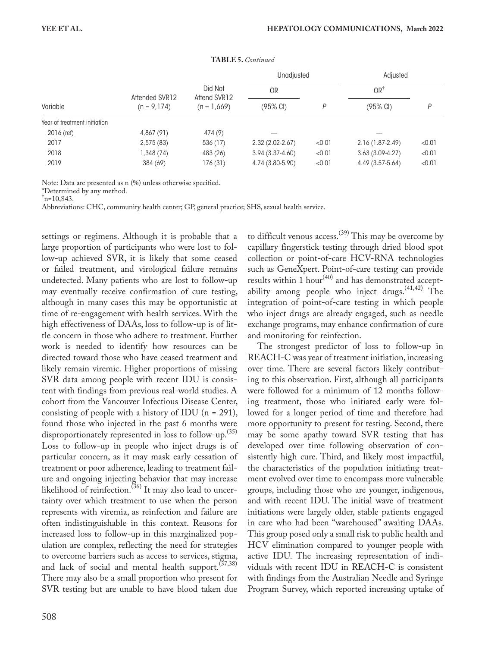|                              |                |                         | Unadjusted          |        | Adjusted          |        |
|------------------------------|----------------|-------------------------|---------------------|--------|-------------------|--------|
|                              | Attended SVR12 | Did Not<br>Attend SVR12 | OR                  |        | OR <sup>†</sup>   |        |
| Variable                     | $(n = 9, 174)$ | $(n = 1,669)$           | (95% CI)            | P      | (95% CI)          | D      |
| Year of treatment initiation |                |                         |                     |        |                   |        |
| $2016$ (ref)                 | 4,867 (91)     | 474 (9)                 |                     |        |                   |        |
| 2017                         | 2,575(83)      | 536 (17)                | $2.32(2.02 - 2.67)$ | < 0.01 | 2.16 (1.87-2.49)  | < 0.01 |
| 2018                         | 1,348 (74)     | 483 (26)                | $3.94(3.37 - 4.60)$ | < 0.01 | $3.63(3.09-4.27)$ | < 0.01 |
| 2019                         | 384 (69)       | 176 (31)                | 4.74 (3.80-5.90)    | < 0.01 | 4.49 (3.57-5.64)  | < 0.01 |

**TABLE 5.** *Continued*

Note: Data are presented as n (%) unless otherwise specified.

\*Determined by any method.

 $\dagger$ n=10,843.

Abbreviations: CHC, community health center; GP, general practice; SHS, sexual health service.

settings or regimens. Although it is probable that a large proportion of participants who were lost to follow-up achieved SVR, it is likely that some ceased or failed treatment, and virological failure remains undetected. Many patients who are lost to follow-up may eventually receive confirmation of cure testing, although in many cases this may be opportunistic at time of re-engagement with health services. With the high effectiveness of DAAs, loss to follow-up is of little concern in those who adhere to treatment. Further work is needed to identify how resources can be directed toward those who have ceased treatment and likely remain viremic. Higher proportions of missing SVR data among people with recent IDU is consistent with findings from previous real-world studies. A cohort from the Vancouver Infectious Disease Center, consisting of people with a history of IDU ( $n = 291$ ), found those who injected in the past 6 months were disproportionately represented in loss to follow-up.<sup>(35)</sup> Loss to follow-up in people who inject drugs is of particular concern, as it may mask early cessation of treatment or poor adherence, leading to treatment failure and ongoing injecting behavior that may increase likelihood of reinfection.<sup>(36)</sup> It may also lead to uncertainty over which treatment to use when the person represents with viremia, as reinfection and failure are often indistinguishable in this context. Reasons for increased loss to follow-up in this marginalized population are complex, reflecting the need for strategies to overcome barriers such as access to services, stigma, and lack of social and mental health support.<sup>(37,38)</sup> There may also be a small proportion who present for SVR testing but are unable to have blood taken due

to difficult venous  $\arccos$ .<sup>(39)</sup> This may be overcome by capillary fingerstick testing through dried blood spot collection or point-of-care HCV-RNA technologies such as GeneXpert. Point-of-care testing can provide results within 1 hour<sup>(40)</sup> and has demonstrated acceptability among people who inject drugs.  $(41,42)$  The integration of point-of-care testing in which people who inject drugs are already engaged, such as needle exchange programs, may enhance confirmation of cure and monitoring for reinfection.

The strongest predictor of loss to follow-up in REACH-C was year of treatment initiation, increasing over time. There are several factors likely contributing to this observation. First, although all participants were followed for a minimum of 12 months following treatment, those who initiated early were followed for a longer period of time and therefore had more opportunity to present for testing. Second, there may be some apathy toward SVR testing that has developed over time following observation of consistently high cure. Third, and likely most impactful, the characteristics of the population initiating treatment evolved over time to encompass more vulnerable groups, including those who are younger, indigenous, and with recent IDU. The initial wave of treatment initiations were largely older, stable patients engaged in care who had been "warehoused" awaiting DAAs. This group posed only a small risk to public health and HCV elimination compared to younger people with active IDU. The increasing representation of individuals with recent IDU in REACH-C is consistent with findings from the Australian Needle and Syringe Program Survey, which reported increasing uptake of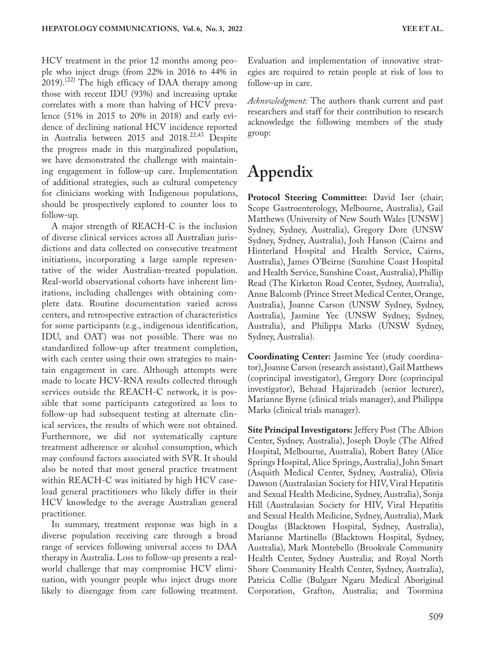HCV treatment in the prior 12 months among people who inject drugs (from 22% in 2016 to 44% in 2019).<sup>(22)</sup> The high efficacy of DAA therapy among those with recent IDU (93%) and increasing uptake correlates with a more than halving of HCV prevalence (51% in 2015 to 20% in 2018) and early evidence of declining national HCV incidence reported in Australia between 2015 and  $2018^{22,43}$  Despite the progress made in this marginalized population, we have demonstrated the challenge with maintaining engagement in follow-up care. Implementation of additional strategies, such as cultural competency for clinicians working with Indigenous populations, should be prospectively explored to counter loss to follow-up.

A major strength of REACH-C is the inclusion of diverse clinical services across all Australian jurisdictions and data collected on consecutive treatment initiations, incorporating a large sample representative of the wider Australian-treated population. Real-world observational cohorts have inherent limitations, including challenges with obtaining complete data. Routine documentation varied across centers, and retrospective extraction of characteristics for some participants (e.g., indigenous identification, IDU, and OAT) was not possible. There was no standardized follow-up after treatment completion, with each center using their own strategies to maintain engagement in care. Although attempts were made to locate HCV-RNA results collected through services outside the REACH-C network, it is possible that some participants categorized as loss to follow-up had subsequent testing at alternate clinical services, the results of which were not obtained. Furthermore, we did not systematically capture treatment adherence or alcohol consumption, which may confound factors associated with SVR. It should also be noted that most general practice treatment within REACH-C was initiated by high HCV caseload general practitioners who likely differ in their HCV knowledge to the average Australian general practitioner.

In summary, treatment response was high in a diverse population receiving care through a broad range of services following universal access to DAA therapy in Australia. Loss to follow-up presents a realworld challenge that may compromise HCV elimination, with younger people who inject drugs more likely to disengage from care following treatment. Evaluation and implementation of innovative strategies are required to retain people at risk of loss to follow-up in care.

*Acknowledgment:* The authors thank current and past researchers and staff for their contribution to research acknowledge the following members of the study group:

# **Appendix**

**Protocol Steering Committee:** David Iser (chair; Scope Gastroenterology, Melbourne, Australia), Gail Matthews (University of New South Wales [UNSW] Sydney, Sydney, Australia), Gregory Dore (UNSW Sydney, Sydney, Australia), Josh Hanson (Cairns and Hinterland Hospital and Health Service, Cairns, Australia), James O'Beirne (Sunshine Coast Hospital and Health Service, Sunshine Coast, Australia), Phillip Read (The Kirketon Road Center, Sydney, Australia), Anne Balcomb (Prince Street Medical Center, Orange, Australia), Joanne Carson (UNSW Sydney, Sydney, Australia), Jasmine Yee (UNSW Sydney, Sydney, Australia), and Philippa Marks (UNSW Sydney, Sydney, Australia).

**Coordinating Center:** Jasmine Yee (study coordinator), Joanne Carson (research assistant), Gail Matthews (coprincipal investigator), Gregory Dore (coprincipal investigator), Behzad Hajarizadeh (senior lecturer), Marianne Byrne (clinical trials manager), and Philippa Marks (clinical trials manager).

**Site Principal Investigators:** Jeffery Post (The Albion Center, Sydney, Australia), Joseph Doyle (The Alfred Hospital, Melbourne, Australia), Robert Batey (Alice Springs Hospital, Alice Springs, Australia), John Smart (Asquith Medical Center, Sydney, Australia), Olivia Dawson (Australasian Society for HIV, Viral Hepatitis and Sexual Health Medicine, Sydney, Australia), Sonja Hill (Australasian Society for HIV, Viral Hepatitis and Sexual Health Medicine, Sydney, Australia), Mark Douglas (Blacktown Hospital, Sydney, Australia), Marianne Martinello (Blacktown Hospital, Sydney, Australia), Mark Montebello (Brookvale Community Health Center, Sydney Australia; and Royal North Shore Community Health Center, Sydney, Australia), Patricia Collie (Bulgarr Ngaru Medical Aboriginal Corporation, Grafton, Australia; and Toormina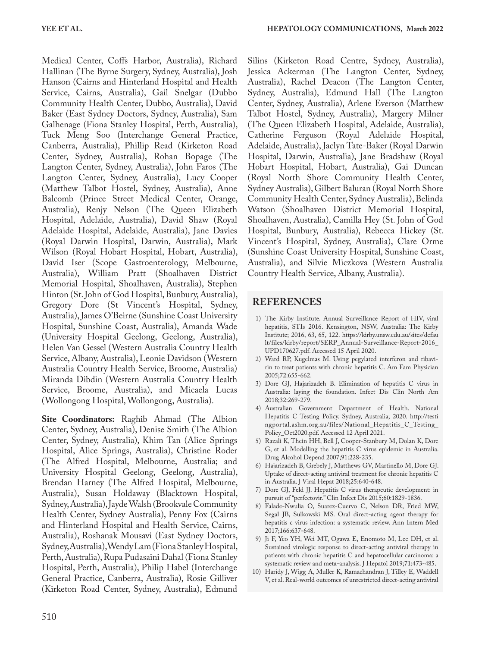Medical Center, Coffs Harbor, Australia), Richard Hallinan (The Byrne Surgery, Sydney, Australia), Josh Hanson (Cairns and Hinterland Hospital and Health Service, Cairns, Australia), Gail Snelgar (Dubbo Community Health Center, Dubbo, Australia), David Baker (East Sydney Doctors, Sydney, Australia), Sam Galhenage (Fiona Stanley Hospital, Perth, Australia), Tuck Meng Soo (Interchange General Practice, Canberra, Australia), Phillip Read (Kirketon Road Center, Sydney, Australia), Rohan Bopage (The Langton Center, Sydney, Australia), John Faros (The Langton Center, Sydney, Australia), Lucy Cooper (Matthew Talbot Hostel, Sydney, Australia), Anne Balcomb (Prince Street Medical Center, Orange, Australia), Renjy Nelson (The Queen Elizabeth Hospital, Adelaide, Australia), David Shaw (Royal Adelaide Hospital, Adelaide, Australia), Jane Davies (Royal Darwin Hospital, Darwin, Australia), Mark Wilson (Royal Hobart Hospital, Hobart, Australia), David Iser (Scope Gastroenterology, Melbourne, Australia), William Pratt (Shoalhaven District Memorial Hospital, Shoalhaven, Australia), Stephen Hinton (St. John of God Hospital, Bunbury, Australia), Gregory Dore (St Vincent's Hospital, Sydney, Australia), James O'Beirne (Sunshine Coast University Hospital, Sunshine Coast, Australia), Amanda Wade (University Hospital Geelong, Geelong, Australia), Helen Van Gessel (Western Australia Country Health Service, Albany, Australia), Leonie Davidson (Western Australia Country Health Service, Broome, Australia) Miranda Dibdin (Western Australia Country Health Service, Broome, Australia), and Micaela Lucas (Wollongong Hospital, Wollongong, Australia).

**Site Coordinators:** Raghib Ahmad (The Albion Center, Sydney, Australia), Denise Smith (The Albion Center, Sydney, Australia), Khim Tan (Alice Springs Hospital, Alice Springs, Australia), Christine Roder (The Alfred Hospital, Melbourne, Australia; and University Hospital Geelong, Geelong, Australia), Brendan Harney (The Alfred Hospital, Melbourne, Australia), Susan Holdaway (Blacktown Hospital, Sydney, Australia), Jayde Walsh (Brookvale Community Health Center, Sydney Australia), Penny Fox (Cairns and Hinterland Hospital and Health Service, Cairns, Australia), Roshanak Mousavi (East Sydney Doctors, Sydney, Australia), Wendy Lam (Fiona Stanley Hospital, Perth, Australia), Rupa Pudasaini Dahal (Fiona Stanley Hospital, Perth, Australia), Philip Habel (Interchange General Practice, Canberra, Australia), Rosie Gilliver (Kirketon Road Center, Sydney, Australia), Edmund

Silins (Kirketon Road Centre, Sydney, Australia), Jessica Ackerman (The Langton Center, Sydney, Australia), Rachel Deacon (The Langton Center, Sydney, Australia), Edmund Hall (The Langton Center, Sydney, Australia), Arlene Everson (Matthew Talbot Hostel, Sydney, Australia), Margery Milner (The Queen Elizabeth Hospital, Adelaide, Australia), Catherine Ferguson (Royal Adelaide Hospital, Adelaide, Australia), Jaclyn Tate-Baker (Royal Darwin Hospital, Darwin, Australia), Jane Bradshaw (Royal Hobart Hospital, Hobart, Australia), Gai Duncan (Royal North Shore Community Health Center, Sydney Australia), Gilbert Baluran (Royal North Shore Community Health Center, Sydney Australia), Belinda Watson (Shoalhaven District Memorial Hospital, Shoalhaven, Australia), Camilla Hey (St. John of God Hospital, Bunbury, Australia), Rebecca Hickey (St. Vincent's Hospital, Sydney, Australia), Clare Orme (Sunshine Coast University Hospital, Sunshine Coast, Australia), and Silvie Miczkova (Western Australia Country Health Service, Albany, Australia).

### **REFERENCES**

- 1) The Kirby Institute. Annual Surveillance Report of HIV, viral hepatitis, STIs 2016. Kensington, NSW, Australia: The Kirby Institute; 2016, 63, 65, 122. [https://kirby.unsw.edu.au/sites/defau](https://kirby.unsw.edu.au/sites/default/files/kirby/report/SERP_Annual-Surveillance-Report-2016_UPD170627.pdf) [lt/files/kirby/report/SERP\\_Annual-Surveillance-Report-2016\\_](https://kirby.unsw.edu.au/sites/default/files/kirby/report/SERP_Annual-Surveillance-Report-2016_UPD170627.pdf) [UPD170627.pdf.](https://kirby.unsw.edu.au/sites/default/files/kirby/report/SERP_Annual-Surveillance-Report-2016_UPD170627.pdf) Accessed 15 April 2020.
- 2) Ward RP, Kugelmas M. Using pegylated interferon and ribavirin to treat patients with chronic hepatitis C. Am Fam Physician 2005;72:655-662.
- 3) Dore GJ, Hajarizadeh B. Elimination of hepatitis C virus in Australia: laying the foundation. Infect Dis Clin North Am 2018;32:269-279.
- 4) Australian Government Department of Health. National Hepatitis C Testing Policy. Sydney, Australia; 2020. [http://testi](http://testingportal.ashm.org.au/files/National_Hepatitis_C_Testing_Policy_Oct2020.pdf) [ngportal.ashm.org.au/files/National\\_Hepatitis\\_C\\_Testing\\_](http://testingportal.ashm.org.au/files/National_Hepatitis_C_Testing_Policy_Oct2020.pdf) [Policy\\_Oct2020.pdf](http://testingportal.ashm.org.au/files/National_Hepatitis_C_Testing_Policy_Oct2020.pdf). Accessed 12 April 2021.
- 5) Razali K, Thein HH, Bell J, Cooper-Stanbury M, Dolan K, Dore G, et al. Modelling the hepatitis C virus epidemic in Australia. Drug Alcohol Depend 2007;91:228-235.
- 6) Hajarizadeh B, Grebely J, Matthews GV, Martinello M, Dore GJ. Uptake of direct-acting antiviral treatment for chronic hepatitis C in Australia. J Viral Hepat 2018;25:640-648.
- 7) Dore GJ, Feld JJ. Hepatitis C virus therapeutic development: in pursuit of "perfectovir." Clin Infect Dis 2015;60:1829-1836.
- 8) Falade-Nwulia O, Suarez-Cuervo C, Nelson DR, Fried MW, Segal JB, Sulkowski MS. Oral direct-acting agent therapy for hepatitis c virus infection: a systematic review. Ann Intern Med 2017;166:637-648.
- Ji F, Yeo YH, Wei MT, Ogawa E, Enomoto M, Lee DH, et al. Sustained virologic response to direct-acting antiviral therapy in patients with chronic hepatitis C and hepatocellular carcinoma: a systematic review and meta-analysis. J Hepatol 2019;71:473-485.
- 10) Haridy J, Wigg A, Muller K, Ramachandran J, Tilley E, Waddell V, et al. Real-world outcomes of unrestricted direct-acting antiviral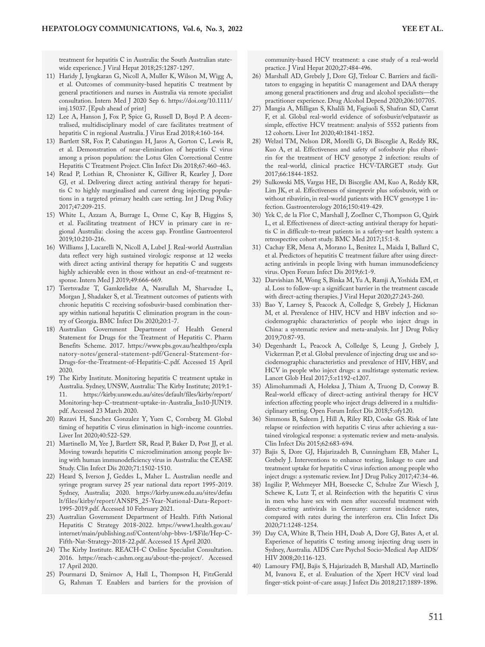treatment for hepatitis C in Australia: the South Australian statewide experience. J Viral Hepat 2018;25:1287-1297.

- 11) Haridy J, Iyngkaran G, Nicoll A, Muller K, Wilson M, Wigg A, et al. Outcomes of community-based hepatitis C treatment by general practitioners and nurses in Australia via remote specialist consultation. Intern Med J 2020 Sep 6. [https://doi.org/10.1111/](https://doi.org/10.1111/imj.15037) [imj.15037.](https://doi.org/10.1111/imj.15037) [Epub ahead of print]
- 12) Lee A, Hanson J, Fox P, Spice G, Russell D, Boyd P. A decentralised, multidisciplinary model of care facilitates treatment of hepatitis C in regional Australia. J Virus Erad 2018;4:160-164.
- 13) Bartlett SR, Fox P, Cabatingan H, Jaros A, Gorton C, Lewis R, et al. Demonstration of near-elimination of hepatitis C virus among a prison population: the Lotus Glen Correctional Centre Hepatitis C Treatment Project. Clin Infect Dis 2018;67:460-463.
- 14) Read P, Lothian R, Chronister K, Gilliver R, Kearley J, Dore GJ, et al. Delivering direct acting antiviral therapy for hepatitis C to highly marginalised and current drug injecting populations in a targeted primary health care setting. Int J Drug Policy 2017;47:209-215.
- 15) White L, Azzam A, Burrage L, Orme C, Kay B, Higgins S, et al. Facilitating treatment of HCV in primary care in regional Australia: closing the access gap. Frontline Gastroenterol 2019;10:210-216.
- 16) Williams J, Lucarelli N, Nicoll A, Lubel J. Real-world Australian data reflect very high sustained virologic response at 12 weeks with direct acting antiviral therapy for hepatitis C and suggests highly achievable even in those without an end-of-treatment response. Intern Med J 2019;49:666-669.
- 17) Tsertsvadze T, Gamkrelidze A, Nasrullah M, Sharvadze L, Morgan J, Shadaker S, et al. Treatment outcomes of patients with chronic hepatitis C receiving sofosbuvir-based combination therapy within national hepatitis C elimination program in the country of Georgia. BMC Infect Dis 2020;20:1-7.
- 18) Australian Government Department of Health General Statement for Drugs for the Treatment of Hepatitis C. Pharm Benefits Scheme. 2017. [https://www.pbs.gov.au/healthpro/expla](https://www.pbs.gov.au/healthpro/explanatory-notes/general-statement-pdf/General-Statement-for-Drugs-for-the-Treatment-of-Hepatitis-C.pdf) [natory-notes/general-statement-pdf/General-Statement-for-](https://www.pbs.gov.au/healthpro/explanatory-notes/general-statement-pdf/General-Statement-for-Drugs-for-the-Treatment-of-Hepatitis-C.pdf)[Drugs-for-the-Treatment-of-Hepatitis-C.pdf](https://www.pbs.gov.au/healthpro/explanatory-notes/general-statement-pdf/General-Statement-for-Drugs-for-the-Treatment-of-Hepatitis-C.pdf). Accessed 15 April 2020.
- 19) The Kirby Institute. Monitoring hepatitis C treatment uptake in Australia. Sydney, UNSW, Australia: The Kirby Institute; 2019:1- 11. [https://kirby.unsw.edu.au/sites/default/files/kirby/report/](https://kirby.unsw.edu.au/sites/default/files/kirby/report/Monitoring-hep-C-treatment-uptake-in-Australia_Iss10-JUN19.pdf) [Monitoring-hep-C-treatment-uptake-in-Australia\\_Iss10-JUN19.](https://kirby.unsw.edu.au/sites/default/files/kirby/report/Monitoring-hep-C-treatment-uptake-in-Australia_Iss10-JUN19.pdf) [pdf.](https://kirby.unsw.edu.au/sites/default/files/kirby/report/Monitoring-hep-C-treatment-uptake-in-Australia_Iss10-JUN19.pdf) Accessed 23 March 2020.
- 20) Razavi H, Sanchez Gonzalez Y, Yuen C, Cornberg M. Global timing of hepatitis C virus elimination in high-income countries. Liver Int 2020;40:522-529.
- 21) Martinello M, Yee J, Bartlett SR, Read P, Baker D, Post JJ, et al. Moving towards hepatitis C microelimination among people living with human immunodeficiency virus in Australia: the CEASE Study. Clin Infect Dis 2020;71:1502-1510.
- 22) Heard S, Iverson J, Geddes L, Maher L. Australian needle and syringe program survey 25 year national data report 1995-2019. Sydney, Australia; 2020. [https://kirby.unsw.edu.au/sites/defau](https://kirby.unsw.edu.au/sites/default/files/kirby/report/ANSPS_25-Year-National-Data-Report-1995-2019.pdf) [lt/files/kirby/report/ANSPS\\_25-Year-National-Data-Report-](https://kirby.unsw.edu.au/sites/default/files/kirby/report/ANSPS_25-Year-National-Data-Report-1995-2019.pdf)[1995-2019.pdf](https://kirby.unsw.edu.au/sites/default/files/kirby/report/ANSPS_25-Year-National-Data-Report-1995-2019.pdf). Accessed 10 February 2021.
- 23) Australian Government Department of Health. Fifth National Hepatitis C Strategy 2018-2022. [https://www1.health.gov.au/](https://www1.health.gov.au/internet/main/publishing.nsf/Content/ohp-bbvs-1/$File/Hep-C-Fifth-Nat-Strategy-2018-22.pdf) [internet/main/publishing.nsf/Content/ohp-bbvs-1/](https://www1.health.gov.au/internet/main/publishing.nsf/Content/ohp-bbvs-1/$File/Hep-C-Fifth-Nat-Strategy-2018-22.pdf)\$File/Hep-C-[Fifth-Nat-Strategy-2018-22.pdf](https://www1.health.gov.au/internet/main/publishing.nsf/Content/ohp-bbvs-1/$File/Hep-C-Fifth-Nat-Strategy-2018-22.pdf). Accessed 15 April 2020.
- 24) The Kirby Institute. REACH-C Online Specialist Consultation. 2016. <https://reach-c.ashm.org.au/about-the-project/>. Accessed 17 April 2020.
- 25) Pourmarzi D, Smirnov A, Hall L, Thompson H, FitzGerald G, Rahman T. Enablers and barriers for the provision of

community-based HCV treatment: a case study of a real-world practice. J Viral Hepat 2020;27:484-496.

- 26) Marshall AD, Grebely J, Dore GJ, Treloar C. Barriers and facilitators to engaging in hepatitis C management and DAA therapy among general practitioners and drug and alcohol specialists—the practitioner experience. Drug Alcohol Depend 2020;206:107705.
- 27) Mangia A, Milligan S, Khalili M, Fagiuoli S, Shafran SD, Carrat F, et al. Global real-world evidence of sofosbuvir/velpatasvir as simple, effective HCV treatment: analysis of 5552 patients from 12 cohorts. Liver Int 2020;40:1841-1852.
- 28) Welzel TM, Nelson DR, Morelli G, Di Bisceglie A, Reddy RK, Kuo A, et al. Effectiveness and safety of sofosbuvir plus ribavirin for the treatment of HCV genotype 2 infection: results of the real-world, clinical practice HCV-TARGET study. Gut 2017;66:1844-1852.
- 29) Sulkowski MS, Vargas HE, Di Bisceglie AM, Kuo A, Reddy KR, Lim JK, et al. Effectiveness of simeprevir plus sofosbuvir, with or without ribavirin, in real-world patients with HCV genotype 1 infection. Gastroenterology 2016;150:419-429.
- 30) Yek C, de la Flor C, Marshall J, Zoellner C, Thompson G, Quirk L, et al. Effectiveness of direct-acting antiviral therapy for hepatitis C in difficult-to-treat patients in a safety-net health system: a retrospective cohort study. BMC Med 2017;15:1-8.
- 31) Cachay ER, Mena A, Morano L, Benitez L, Maida I, Ballard C, et al. Predictors of hepatitis C treatment failure after using directacting antivirals in people living with human immunodeficiency virus. Open Forum Infect Dis 2019;6:1-9.
- 32) Darvishian M, Wong S, Binka M, Yu A, Ramji A, Yoshida EM, et al. Loss to follow-up: a significant barrier in the treatment cascade with direct-acting therapies. J Viral Hepat 2020;27:243-260.
- 33) Bao Y, Larney S, Peacock A, Colledge S, Grebely J, Hickman M, et al. Prevalence of HIV, HCV and HBV infection and sociodemographic characteristics of people who inject drugs in China: a systematic review and meta-analysis. Int J Drug Policy 2019;70:87-93.
- 34) Degenhardt L, Peacock A, Colledge S, Leung J, Grebely J, Vickerman P, et al. Global prevalence of injecting drug use and sociodemographic characteristics and prevalence of HIV, HBV, and HCV in people who inject drugs: a multistage systematic review. Lancet Glob Heal 2017;5:e1192-e1207.
- 35) Alimohammadi A, Holeksa J, Thiam A, Truong D, Conway B. Real-world efficacy of direct-acting antiviral therapy for HCV infection affecting people who inject drugs delivered in a multidisciplinary setting. Open Forum Infect Dis 2018;5:ofy120.
- 36) Simmons B, Saleem J, Hill A, Riley RD, Cooke GS. Risk of late relapse or reinfection with hepatitis C virus after achieving a sustained virological response: a systematic review and meta-analysis. Clin Infect Dis 2015;62:683-694.
- 37) Bajis S, Dore GJ, Hajarizadeh B, Cunningham EB, Maher L, Grebely J. Interventions to enhance testing, linkage to care and treatment uptake for hepatitis C virus infection among people who inject drugs: a systematic review. Int J Drug Policy 2017;47:34-46.
- 38) Ingiliz P, Wehmeyer MH, Boesecke C, Schulze Zur Wiesch J, Schewe K, Lutz T, et al. Reinfection with the hepatitis C virus in men who have sex with men after successful treatment with direct-acting antivirals in Germany: current incidence rates, compared with rates during the interferon era. Clin Infect Dis 2020;71:1248-1254.
- 39) Day CA, White B, Thein HH, Doab A, Dore GJ, Bates A, et al. Experience of hepatitis C testing among injecting drug users in Sydney, Australia. AIDS Care Psychol Socio-Medical Asp AIDS/ HIV 2008;20:116-123.
- 40) Lamoury FMJ, Bajis S, Hajarizadeh B, Marshall AD, Martinello M, Ivanova E, et al. Evaluation of the Xpert HCV viral load finger-stick point-of-care assay. J Infect Dis 2018;217:1889-1896.